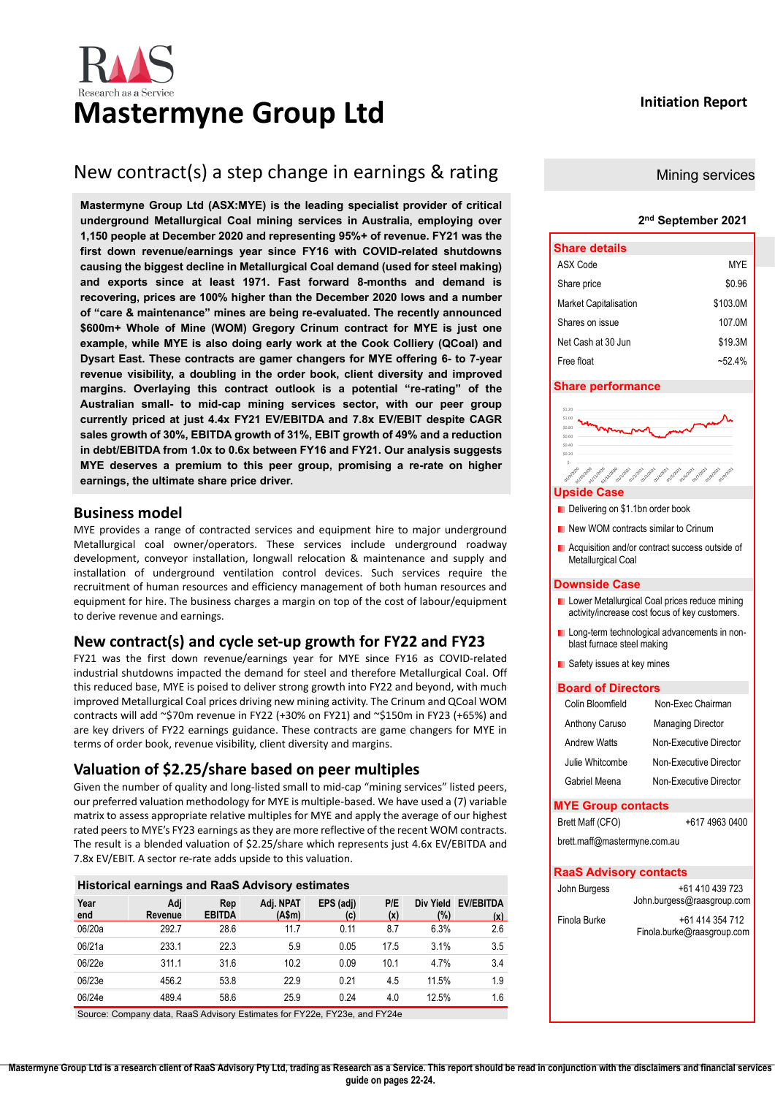# **Mastermyne Group Ltd Initiation Report**

### New contract(s) a step change in earnings & rating

**Mastermyne Group Ltd (ASX:MYE) is the leading specialist provider of critical underground Metallurgical Coal mining services in Australia, employing over 1,150 people at December 2020 and representing 95%+ of revenue. FY21 was the first down revenue/earnings year since FY16 with COVID-related shutdowns causing the biggest decline in Metallurgical Coal demand (used for steel making) and exports since at least 1971. Fast forward 8-months and demand is recovering, prices are 100% higher than the December 2020 lows and a number of "care & maintenance" mines are being re-evaluated. The recently announced \$600m+ Whole of Mine (WOM) Gregory Crinum contract for MYE is just one example, while MYE is also doing early work at the Cook Colliery (QCoal) and Dysart East. These contracts are gamer changers for MYE offering 6- to 7-year revenue visibility, a doubling in the order book, client diversity and improved margins. Overlaying this contract outlook is a potential "re-rating" of the Australian small- to mid-cap mining services sector, with our peer group currently priced at just 4.4x FY21 EV/EBITDA and 7.8x EV/EBIT despite CAGR sales growth of 30%, EBITDA growth of 31%, EBIT growth of 49% and a reduction in debt/EBITDA from 1.0x to 0.6x between FY16 and FY21. Our analysis suggests MYE deserves a premium to this peer group, promising a re-rate on higher earnings, the ultimate share price driver.**

#### <span id="page-0-0"></span>**Business model**

MYE provides a range of contracted services and equipment hire to major underground Metallurgical coal owner/operators. These services include underground roadway development, conveyor installation, longwall relocation & maintenance and supply and installation of underground ventilation control devices. Such services require the recruitment of human resources and efficiency management of both human resources and equipment for hire. The business charges a margin on top of the cost of labour/equipment to derive revenue and earnings.

#### **New contract(s) and cycle set-up growth for FY22 and FY23**

FY21 was the first down revenue/earnings year for MYE since FY16 as COVID-related industrial shutdowns impacted the demand for steel and therefore Metallurgical Coal. Off this reduced base, MYE is poised to deliver strong growth into FY22 and beyond, with much improved Metallurgical Coal prices driving new mining activity. The Crinum and QCoal WOM contracts will add ~\$70m revenue in FY22 (+30% on FY21) and ~\$150m in FY23 (+65%) and are key drivers of FY22 earnings guidance. These contracts are game changers for MYE in terms of order book, revenue visibility, client diversity and margins.

#### <span id="page-0-1"></span>**Valuation of \$2.25/share based on peer multiples**

Given the number of quality and long-listed small to mid-cap "mining services" listed peers, our preferred valuation methodology for MYE is multiple-based. We have used a (7) variable matrix to assess appropriate relative multiples for MYE and apply the average of our highest rated peers to MYE's FY23 earnings as they are more reflective of the recent WOM contracts. The result is a blended valuation of \$2.25/share which represents just 4.6x EV/EBITDA and 7.8x EV/EBIT. A sector re-rate adds upside to this valuation.

#### **Historical earnings and RaaS Advisory estimates**

| Year<br>end | Adj<br>Revenue | Rep<br><b>EBITDA</b> | Adj. NPAT<br>(A\$m) | EPS (adj)<br>(c) | P/E<br>(x) | Div Yield<br>(%) | <b>EV/EBITDA</b><br>(x) |
|-------------|----------------|----------------------|---------------------|------------------|------------|------------------|-------------------------|
| 06/20a      | 292.7          | 28.6                 | 11.7                | 0.11             | 8.7        | 6.3%             | 2.6                     |
| 06/21a      | 233.1          | 22.3                 | 5.9                 | 0.05             | 17.5       | 3.1%             | 3.5                     |
| 06/22e      | 311.1          | 31.6                 | 10.2                | 0.09             | 10.1       | 4.7%             | 3.4                     |
| 06/23e      | 456.2          | 53.8                 | 22.9                | 0.21             | 4.5        | 11.5%            | 1.9                     |
| 06/24e      | 489.4          | 58.6                 | 25.9                | 0.24             | 4.0        | 12.5%            | 1.6                     |

Source: Company data, RaaS Advisory Estimates for FY22e, FY23e, and FY24e

#### Mining services

#### **2 nd September 2021**

| <b>Share details</b>         |            |
|------------------------------|------------|
| ASX Code                     | <b>MYE</b> |
| Share price                  | \$0.96     |
| <b>Market Capitalisation</b> | \$103.0M   |
| Shares on issue              | 107 OM     |
| Net Cash at 30 Jun           | \$19.3M    |
| Free float                   | $~152.4\%$ |

#### **Share performance**

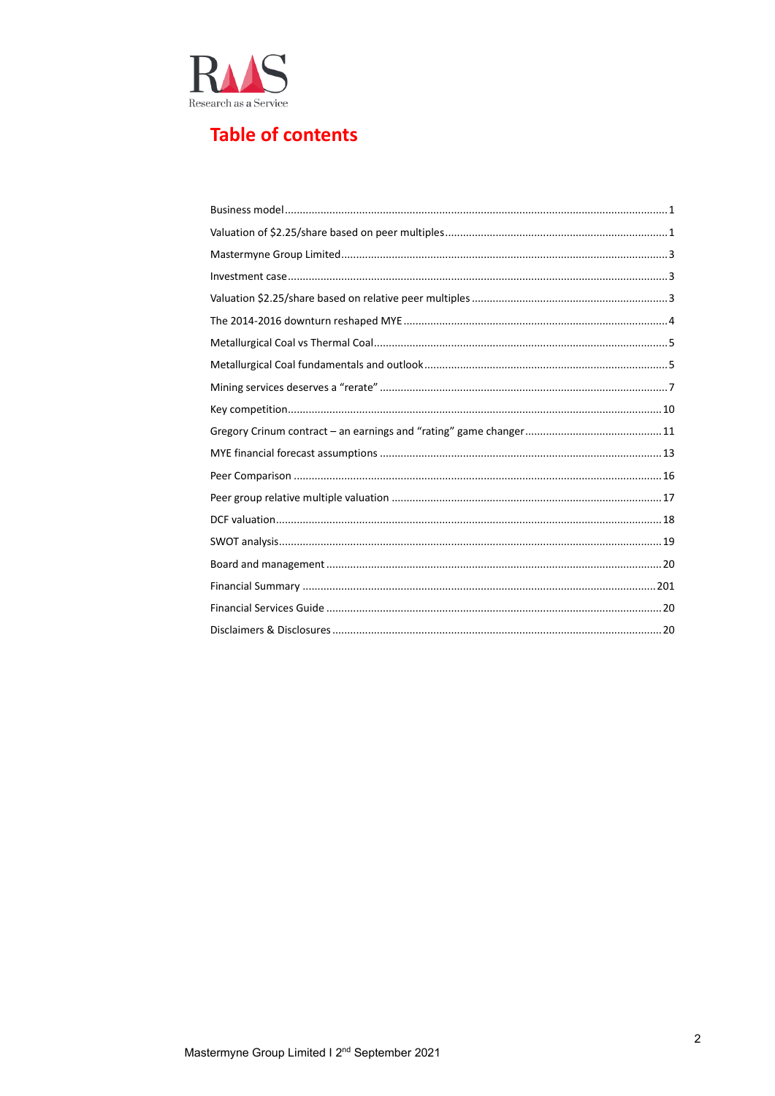

#### **Table of contents**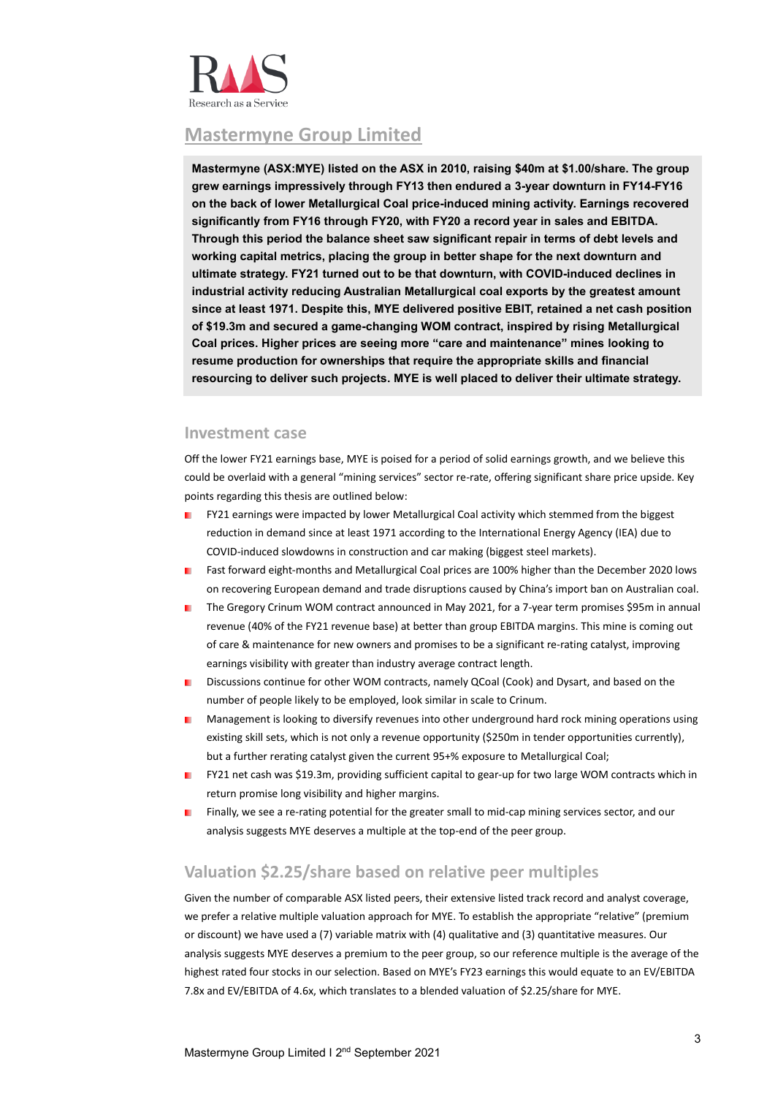

#### <span id="page-2-0"></span>**Mastermyne Group Limited**

**Mastermyne (ASX:MYE) listed on the ASX in 2010, raising \$40m at \$1.00/share. The group grew earnings impressively through FY13 then endured a 3-year downturn in FY14-FY16 on the back of lower Metallurgical Coal price-induced mining activity. Earnings recovered significantly from FY16 through FY20, with FY20 a record year in sales and EBITDA. Through this period the balance sheet saw significant repair in terms of debt levels and working capital metrics, placing the group in better shape for the next downturn and ultimate strategy. FY21 turned out to be that downturn, with COVID-induced declines in industrial activity reducing Australian Metallurgical coal exports by the greatest amount since at least 1971. Despite this, MYE delivered positive EBIT, retained a net cash position of \$19.3m and secured a game-changing WOM contract, inspired by rising Metallurgical Coal prices. Higher prices are seeing more "care and maintenance" mines looking to resume production for ownerships that require the appropriate skills and financial resourcing to deliver such projects. MYE is well placed to deliver their ultimate strategy.** 

#### <span id="page-2-1"></span>**Investment case**

Off the lower FY21 earnings base, MYE is poised for a period of solid earnings growth, and we believe this could be overlaid with a general "mining services" sector re-rate, offering significant share price upside. Key points regarding this thesis are outlined below:

- ٠ FY21 earnings were impacted by lower Metallurgical Coal activity which stemmed from the biggest reduction in demand since at least 1971 according to the International Energy Agency (IEA) due to COVID-induced slowdowns in construction and car making (biggest steel markets).
- Fast forward eight-months and Metallurgical Coal prices are 100% higher than the December 2020 lows on recovering European demand and trade disruptions caused by China's import ban on Australian coal.
- The Gregory Crinum WOM contract announced in May 2021, for a 7-year term promises \$95m in annual m. revenue (40% of the FY21 revenue base) at better than group EBITDA margins. This mine is coming out of care & maintenance for new owners and promises to be a significant re-rating catalyst, improving earnings visibility with greater than industry average contract length.
- Discussions continue for other WOM contracts, namely QCoal (Cook) and Dysart, and based on the number of people likely to be employed, look similar in scale to Crinum.
- Management is looking to diversify revenues into other underground hard rock mining operations using existing skill sets, which is not only a revenue opportunity (\$250m in tender opportunities currently), but a further rerating catalyst given the current 95+% exposure to Metallurgical Coal;
- FY21 net cash was \$19.3m, providing sufficient capital to gear-up for two large WOM contracts which in return promise long visibility and higher margins.
- Finally, we see a re-rating potential for the greater small to mid-cap mining services sector, and our analysis suggests MYE deserves a multiple at the top-end of the peer group.

#### <span id="page-2-2"></span>**Valuation \$2.25/share based on relative peer multiples**

Given the number of comparable ASX listed peers, their extensive listed track record and analyst coverage, we prefer a relative multiple valuation approach for MYE. To establish the appropriate "relative" (premium or discount) we have used a (7) variable matrix with (4) qualitative and (3) quantitative measures. Our analysis suggests MYE deserves a premium to the peer group, so our reference multiple is the average of the highest rated four stocks in our selection. Based on MYE's FY23 earnings this would equate to an EV/EBITDA 7.8x and EV/EBITDA of 4.6x, which translates to a blended valuation of \$2.25/share for MYE.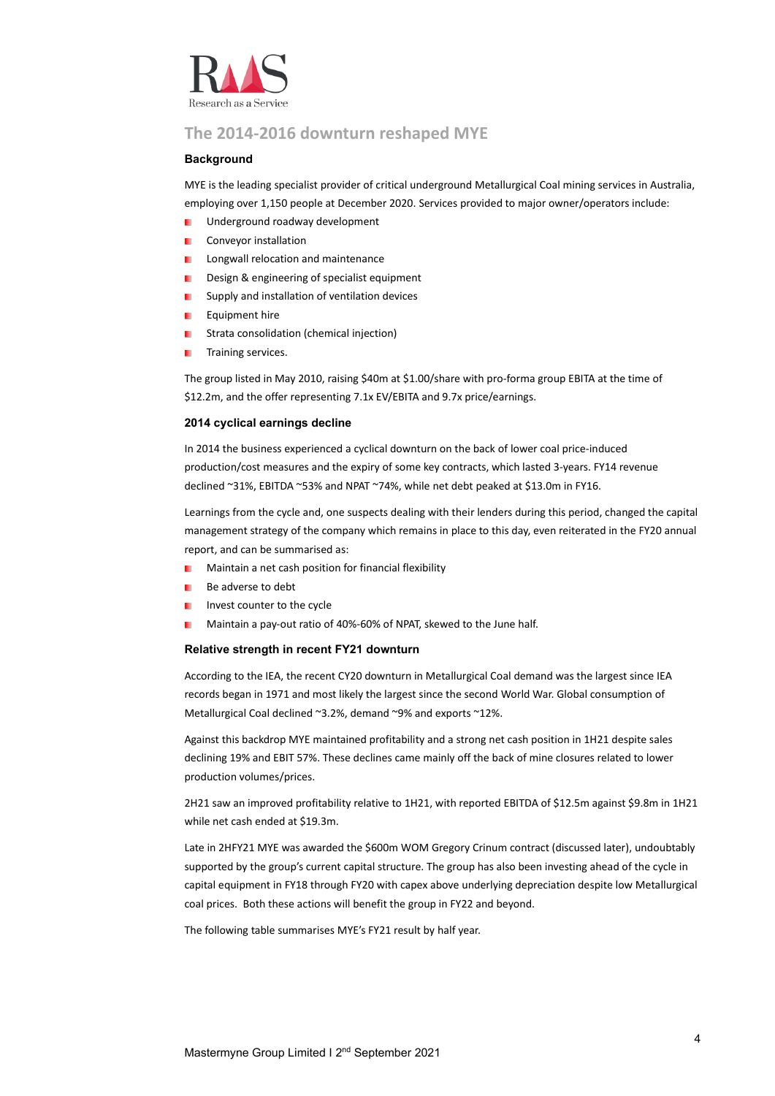

#### <span id="page-3-0"></span>**The 2014-2016 downturn reshaped MYE**

#### **Background**

MYE is the leading specialist provider of critical underground Metallurgical Coal mining services in Australia, employing over 1,150 people at December 2020. Services provided to major owner/operators include:

- Underground roadway development
- Conveyor installation ٠
- Longwall relocation and maintenance ٠
- Design & engineering of specialist equipment
- Supply and installation of ventilation devices ٠
- Equipment hire
- Strata consolidation (chemical injection) ٠
- Training services. ٠

The group listed in May 2010, raising \$40m at \$1.00/share with pro-forma group EBITA at the time of \$12.2m, and the offer representing 7.1x EV/EBITA and 9.7x price/earnings.

#### **2014 cyclical earnings decline**

In 2014 the business experienced a cyclical downturn on the back of lower coal price-induced production/cost measures and the expiry of some key contracts, which lasted 3-years. FY14 revenue declined ~31%, EBITDA ~53% and NPAT ~74%, while net debt peaked at \$13.0m in FY16.

Learnings from the cycle and, one suspects dealing with their lenders during this period, changed the capital management strategy of the company which remains in place to this day, even reiterated in the FY20 annual report, and can be summarised as:

- Maintain a net cash position for financial flexibility
- Be adverse to debt
- Invest counter to the cycle
- Maintain a pay-out ratio of 40%-60% of NPAT, skewed to the June half.

#### **Relative strength in recent FY21 downturn**

According to the IEA, the recent CY20 downturn in Metallurgical Coal demand was the largest since IEA records began in 1971 and most likely the largest since the second World War. Global consumption of Metallurgical Coal declined ~3.2%, demand ~9% and exports ~12%.

Against this backdrop MYE maintained profitability and a strong net cash position in 1H21 despite sales declining 19% and EBIT 57%. These declines came mainly off the back of mine closures related to lower production volumes/prices.

2H21 saw an improved profitability relative to 1H21, with reported EBITDA of \$12.5m against \$9.8m in 1H21 while net cash ended at \$19.3m.

Late in 2HFY21 MYE was awarded the \$600m WOM Gregory Crinum contract (discussed later), undoubtably supported by the group's current capital structure. The group has also been investing ahead of the cycle in capital equipment in FY18 through FY20 with capex above underlying depreciation despite low Metallurgical coal prices. Both these actions will benefit the group in FY22 and beyond.

The following table summarises MYE's FY21 result by half year.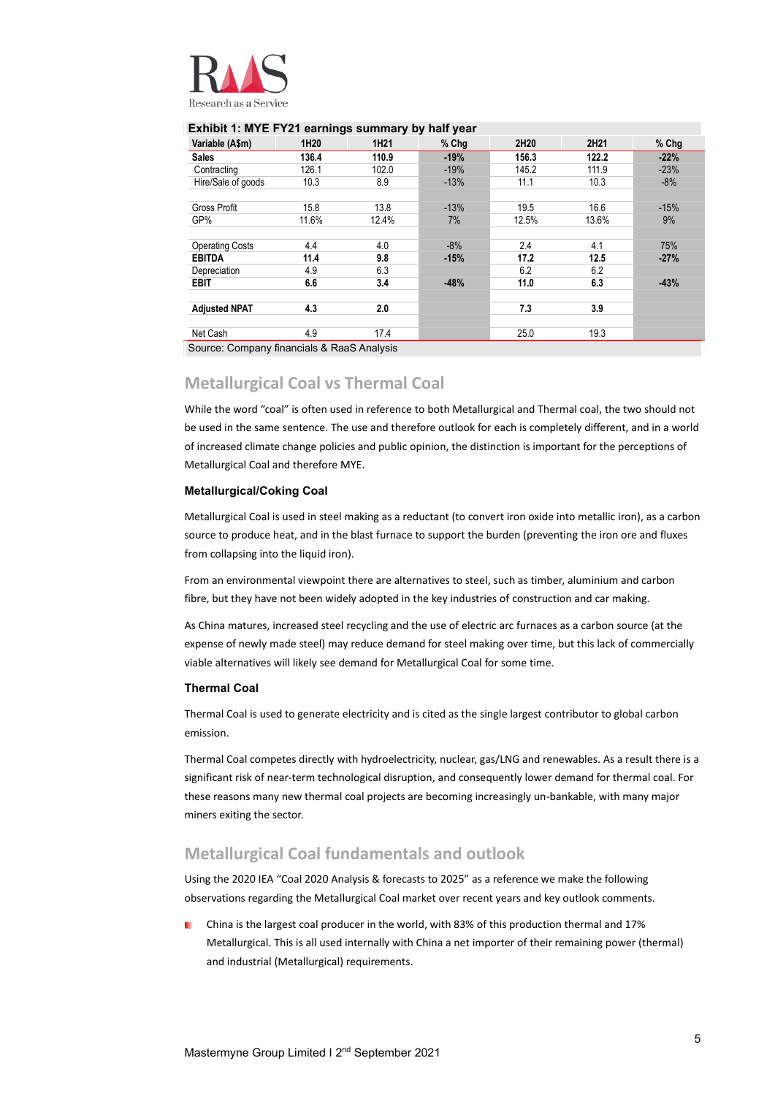

#### **Exhibit 1: MYE FY21 earnings summary by half year**

| Variable (A\$m)        | 1H20  | 1H <sub>21</sub> | $%$ Chg | 2H20  | 2H21  | % Chg  |
|------------------------|-------|------------------|---------|-------|-------|--------|
| <b>Sales</b>           | 136.4 | 110.9            | $-19%$  | 156.3 | 122.2 | $-22%$ |
| Contracting            | 126.1 | 102.0            | $-19%$  | 145.2 | 111.9 | $-23%$ |
| Hire/Sale of goods     | 10.3  | 8.9              | $-13%$  | 11.1  | 10.3  | $-8%$  |
|                        |       |                  |         |       |       |        |
| <b>Gross Profit</b>    | 15.8  | 13.8             | $-13%$  | 19.5  | 16.6  | $-15%$ |
| GP%                    | 11.6% | 12.4%            | 7%      | 12.5% | 13.6% | 9%     |
|                        |       |                  |         |       |       |        |
| <b>Operating Costs</b> | 4.4   | 4.0              | $-8%$   | 2.4   | 4.1   | 75%    |
| <b>EBITDA</b>          | 11.4  | 9.8              | $-15%$  | 17.2  | 12.5  | $-27%$ |
| Depreciation           | 4.9   | 6.3              |         | 6.2   | 6.2   |        |
| <b>EBIT</b>            | 6.6   | 3.4              | $-48%$  | 11.0  | 6.3   | $-43%$ |
|                        |       |                  |         |       |       |        |
| <b>Adiusted NPAT</b>   | 4.3   | 2.0              |         | 7.3   | 3.9   |        |
|                        |       |                  |         |       |       |        |
| Net Cash               | 4.9   | 17.4             |         | 25.0  | 19.3  |        |

Source: Company financials & RaaS Analysis

#### <span id="page-4-0"></span>**Metallurgical Coal vs Thermal Coal**

While the word "coal" is often used in reference to both Metallurgical and Thermal coal, the two should not be used in the same sentence. The use and therefore outlook for each is completely different, and in a world of increased climate change policies and public opinion, the distinction is important for the perceptions of Metallurgical Coal and therefore MYE.

#### **Metallurgical/Coking Coal**

Metallurgical Coal is used in steel making as a reductant (to convert iron oxide into metallic iron), as a carbon source to produce heat, and in the blast furnace to support the burden (preventing the iron ore and fluxes from collapsing into the liquid iron).

From an environmental viewpoint there are alternatives to steel, such as timber, aluminium and carbon fibre, but they have not been widely adopted in the key industries of construction and car making.

As China matures, increased steel recycling and the use of electric arc furnaces as a carbon source (at the expense of newly made steel) may reduce demand for steel making over time, but this lack of commercially viable alternatives will likely see demand for Metallurgical Coal for some time.

#### **Thermal Coal**

Thermal Coal is used to generate electricity and is cited as the single largest contributor to global carbon emission.

Thermal Coal competes directly with hydroelectricity, nuclear, gas/LNG and renewables. As a result there is a significant risk of near-term technological disruption, and consequently lower demand for thermal coal. For these reasons many new thermal coal projects are becoming increasingly un-bankable, with many major miners exiting the sector.

#### <span id="page-4-1"></span>**Metallurgical Coal fundamentals and outlook**

Using the 2020 IEA "Coal 2020 Analysis & forecasts to 2025" as a reference we make the following observations regarding the Metallurgical Coal market over recent years and key outlook comments.

China is the largest coal producer in the world, with 83% of this production thermal and 17% Metallurgical. This is all used internally with China a net importer of their remaining power (thermal) and industrial (Metallurgical) requirements.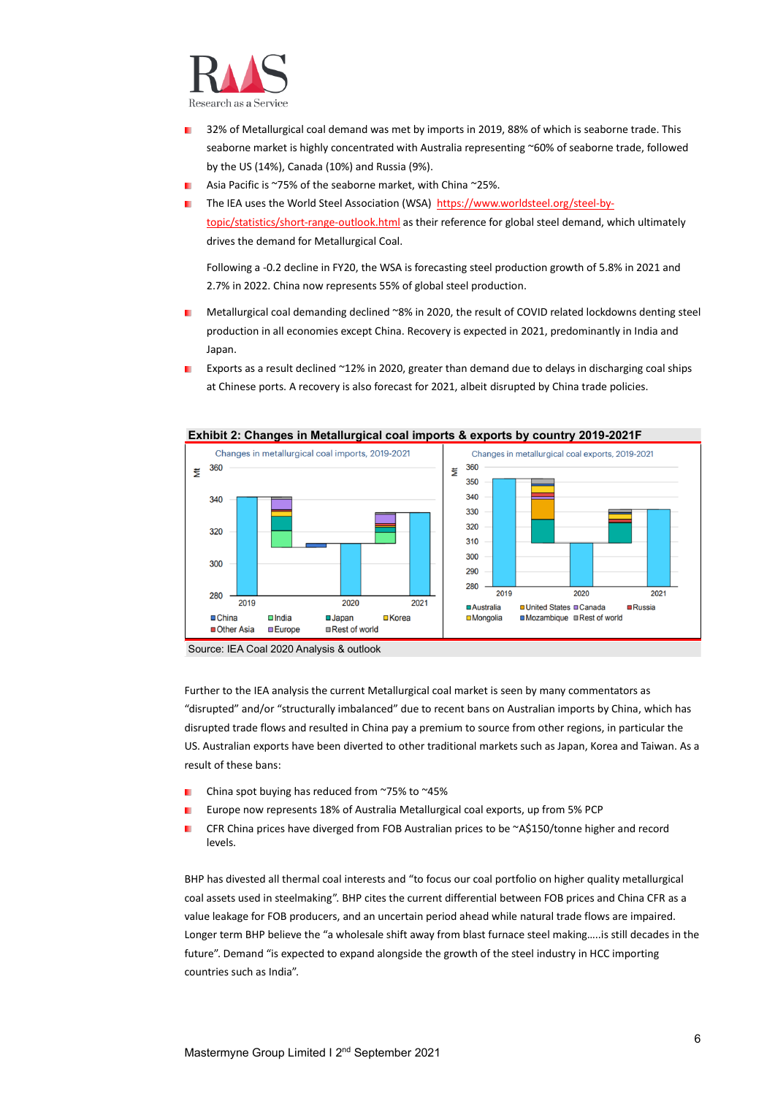

- 32% of Metallurgical coal demand was met by imports in 2019, 88% of which is seaborne trade. This seaborne market is highly concentrated with Australia representing ~60% of seaborne trade, followed by the US (14%), Canada (10%) and Russia (9%).
- Asia Pacific is ~75% of the seaborne market, with China ~25%.
- The IEA uses the World Steel Association (WSA) [https://www.worldsteel.org/steel-by](https://www.worldsteel.org/steel-by-topic/statistics/short-range-outlook.html)[topic/statistics/short-range-outlook.html](https://www.worldsteel.org/steel-by-topic/statistics/short-range-outlook.html) as their reference for global steel demand, which ultimately drives the demand for Metallurgical Coal.

Following a -0.2 decline in FY20, the WSA is forecasting steel production growth of 5.8% in 2021 and 2.7% in 2022. China now represents 55% of global steel production.

- Metallurgical coal demanding declined ~8% in 2020, the result of COVID related lockdowns denting steel production in all economies except China. Recovery is expected in 2021, predominantly in India and Japan.
- Exports as a result declined ~12% in 2020, greater than demand due to delays in discharging coal ships at Chinese ports. A recovery is also forecast for 2021, albeit disrupted by China trade policies.



#### **Exhibit 2: Changes in Metallurgical coal imports & exports by country 2019-2021F**

Source: IEA Coal 2020 Analysis & outlook

Further to the IEA analysis the current Metallurgical coal market is seen by many commentators as "disrupted" and/or "structurally imbalanced" due to recent bans on Australian imports by China, which has disrupted trade flows and resulted in China pay a premium to source from other regions, in particular the US. Australian exports have been diverted to other traditional markets such as Japan, Korea and Taiwan. As a result of these bans:

- China spot buying has reduced from ~75% to ~45% ٠
- Europe now represents 18% of Australia Metallurgical coal exports, up from 5% PCP
- CFR China prices have diverged from FOB Australian prices to be ~A\$150/tonne higher and record levels.

BHP has divested all thermal coal interests and "to focus our coal portfolio on higher quality metallurgical coal assets used in steelmaking". BHP cites the current differential between FOB prices and China CFR as a value leakage for FOB producers, and an uncertain period ahead while natural trade flows are impaired. Longer term BHP believe the "a wholesale shift away from blast furnace steel making…..is still decades in the future". Demand "is expected to expand alongside the growth of the steel industry in HCC importing countries such as India".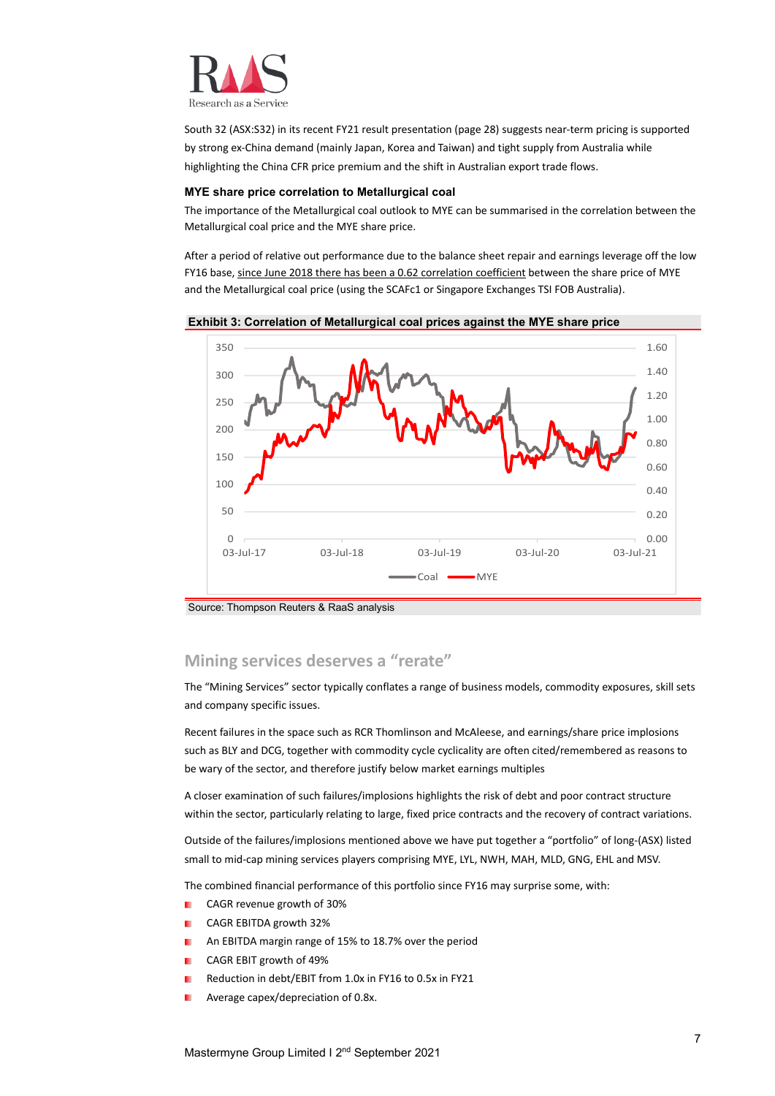

South 32 (ASX:S32) in its recent FY21 result presentation (page 28) suggests near-term pricing is supported by strong ex-China demand (mainly Japan, Korea and Taiwan) and tight supply from Australia while highlighting the China CFR price premium and the shift in Australian export trade flows.

#### **MYE share price correlation to Metallurgical coal**

The importance of the Metallurgical coal outlook to MYE can be summarised in the correlation between the Metallurgical coal price and the MYE share price.

After a period of relative out performance due to the balance sheet repair and earnings leverage off the low FY16 base, since June 2018 there has been a 0.62 correlation coefficient between the share price of MYE and the Metallurgical coal price (using the SCAFc1 or Singapore Exchanges TSI FOB Australia).



#### **Exhibit 3: Correlation of Metallurgical coal prices against the MYE share price**

Source: Thompson Reuters & RaaS analysis

#### <span id="page-6-0"></span>**Mining services deserves a "rerate"**

The "Mining Services" sector typically conflates a range of business models, commodity exposures, skill sets and company specific issues.

Recent failures in the space such as RCR Thomlinson and McAleese, and earnings/share price implosions such as BLY and DCG, together with commodity cycle cyclicality are often cited/remembered as reasons to be wary of the sector, and therefore justify below market earnings multiples

A closer examination of such failures/implosions highlights the risk of debt and poor contract structure within the sector, particularly relating to large, fixed price contracts and the recovery of contract variations.

Outside of the failures/implosions mentioned above we have put together a "portfolio" of long-(ASX) listed small to mid-cap mining services players comprising MYE, LYL, NWH, MAH, MLD, GNG, EHL and MSV.

The combined financial performance of this portfolio since FY16 may surprise some, with:

- CAGR revenue growth of 30%
- CAGR EBITDA growth 32%
- An EBITDA margin range of 15% to 18.7% over the period
- CAGR EBIT growth of 49%
- Reduction in debt/EBIT from 1.0x in FY16 to 0.5x in FY21
- Average capex/depreciation of 0.8x.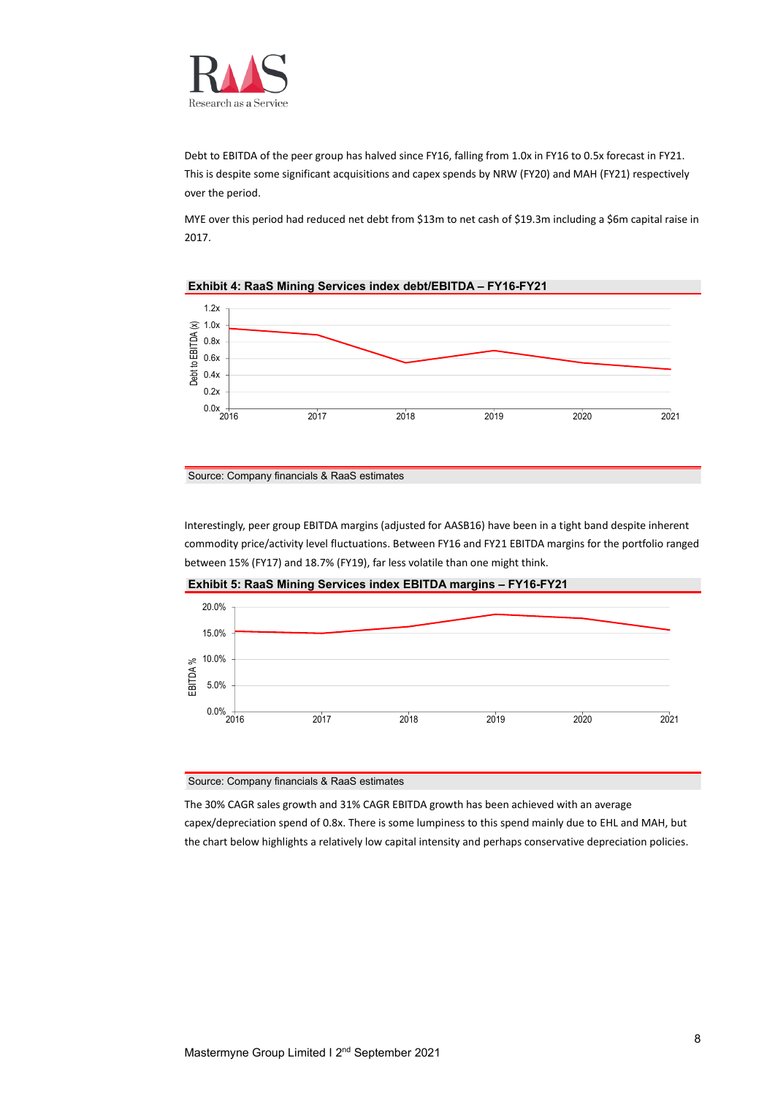

Debt to EBITDA of the peer group has halved since FY16, falling from 1.0x in FY16 to 0.5x forecast in FY21. This is despite some significant acquisitions and capex spends by NRW (FY20) and MAH (FY21) respectively over the period.

MYE over this period had reduced net debt from \$13m to net cash of \$19.3m including a \$6m capital raise in 2017.



#### **Exhibit 4: RaaS Mining Services index debt/EBITDA – FY16-FY21**

Interestingly, peer group EBITDA margins (adjusted for AASB16) have been in a tight band despite inherent commodity price/activity level fluctuations. Between FY16 and FY21 EBITDA margins for the portfolio ranged between 15% (FY17) and 18.7% (FY19), far less volatile than one might think.



**Exhibit 5: RaaS Mining Services index EBITDA margins – FY16-FY21**

Source: Company financials & RaaS estimates

The 30% CAGR sales growth and 31% CAGR EBITDA growth has been achieved with an average capex/depreciation spend of 0.8x. There is some lumpiness to this spend mainly due to EHL and MAH, but the chart below highlights a relatively low capital intensity and perhaps conservative depreciation policies.

Source: Company financials & RaaS estimates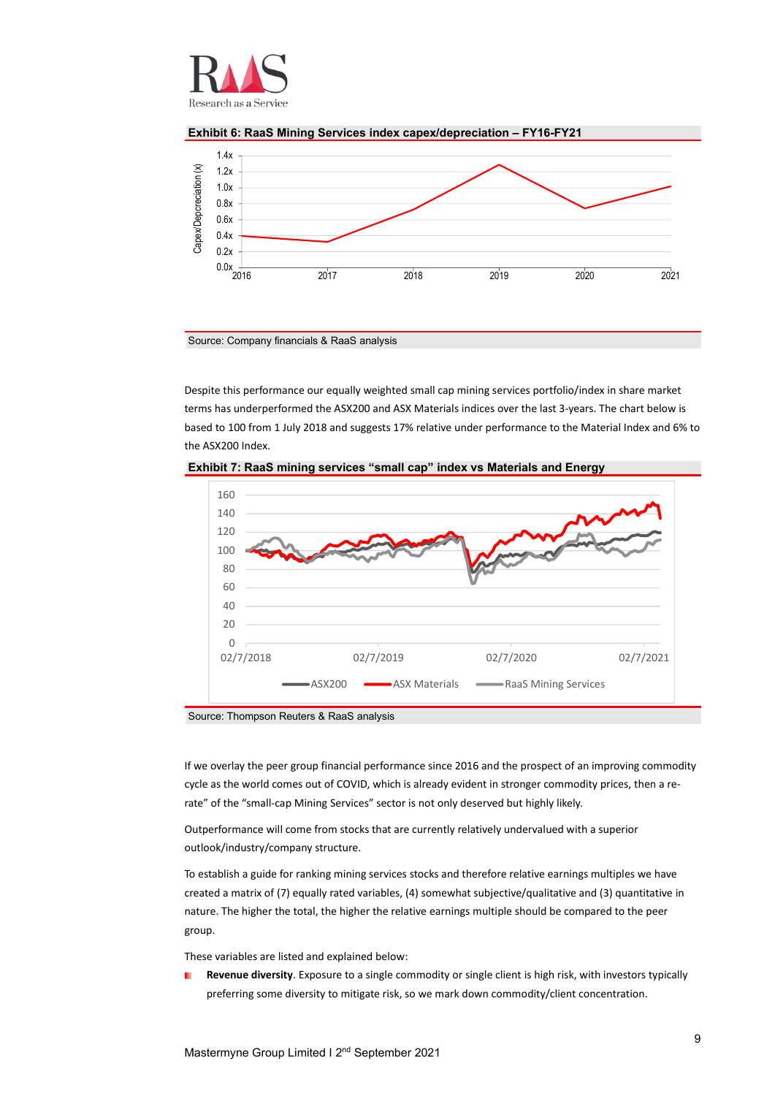





Source: Company financials & RaaS analysis

Despite this performance our equally weighted small cap mining services portfolio/index in share market terms has underperformed the ASX200 and ASX Materials indices over the last 3-years. The chart below is based to 100 from 1 July 2018 and suggests 17% relative under performance to the Material Index and 6% to the ASX200 Index.



**Exhibit 7: RaaS mining services "small cap" index vs Materials and Energy**

Source: Thompson Reuters & RaaS analysis

If we overlay the peer group financial performance since 2016 and the prospect of an improving commodity cycle as the world comes out of COVID, which is already evident in stronger commodity prices, then a rerate" of the "small-cap Mining Services" sector is not only deserved but highly likely.

Outperformance will come from stocks that are currently relatively undervalued with a superior outlook/industry/company structure.

To establish a guide for ranking mining services stocks and therefore relative earnings multiples we have created a matrix of (7) equally rated variables, (4) somewhat subjective/qualitative and (3) quantitative in nature. The higher the total, the higher the relative earnings multiple should be compared to the peer group.

These variables are listed and explained below:

**Revenue diversity**. Exposure to a single commodity or single client is high risk, with investors typically preferring some diversity to mitigate risk, so we mark down commodity/client concentration.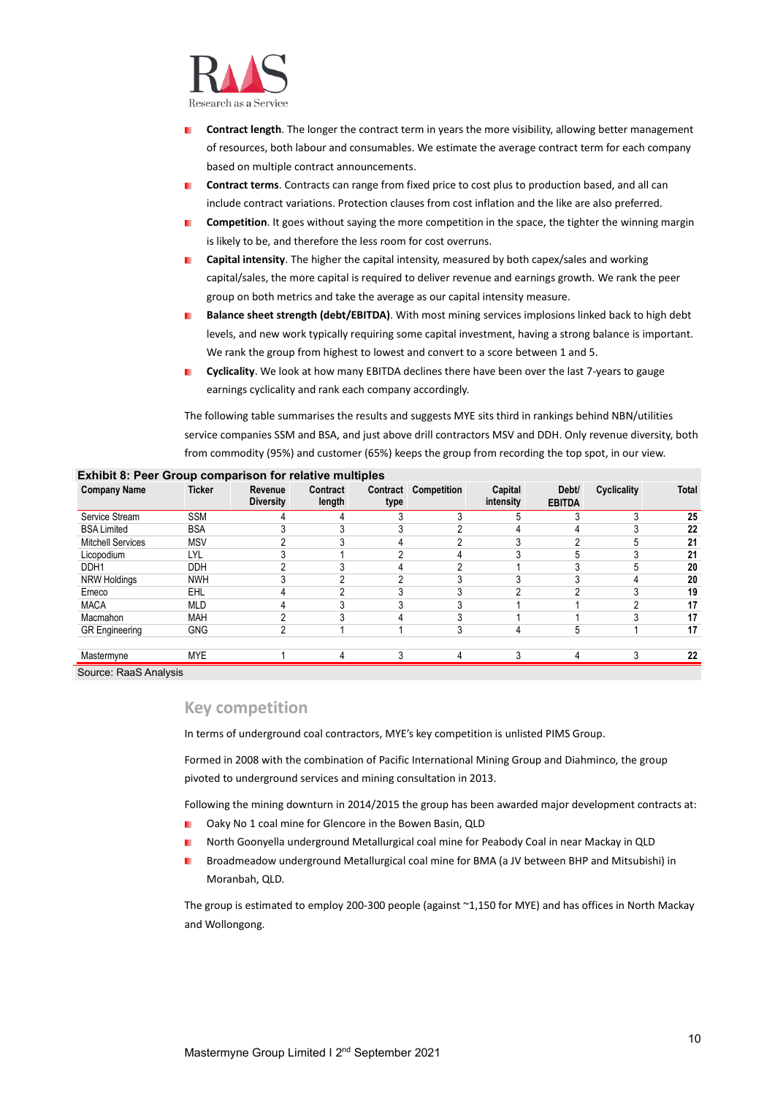

- **Contract length**. The longer the contract term in years the more visibility, allowing better management of resources, both labour and consumables. We estimate the average contract term for each company based on multiple contract announcements.
- **Contract terms**. Contracts can range from fixed price to cost plus to production based, and all can m. include contract variations. Protection clauses from cost inflation and the like are also preferred.
- **Competition**. It goes without saying the more competition in the space, the tighter the winning margin is likely to be, and therefore the less room for cost overruns.
- **Capital intensity**. The higher the capital intensity, measured by both capex/sales and working capital/sales, the more capital is required to deliver revenue and earnings growth. We rank the peer group on both metrics and take the average as our capital intensity measure.
- **Balance sheet strength (debt/EBITDA)**. With most mining services implosions linked back to high debt levels, and new work typically requiring some capital investment, having a strong balance is important. We rank the group from highest to lowest and convert to a score between 1 and 5.
- **Cyclicality**. We look at how many EBITDA declines there have been over the last 7-years to gauge ٠. earnings cyclicality and rank each company accordingly.

The following table summarises the results and suggests MYE sits third in rankings behind NBN/utilities service companies SSM and BSA, and just above drill contractors MSV and DDH. Only revenue diversity, both from commodity (95%) and customer (65%) keeps the group from recording the top spot, in our view.

| <b>Company Name</b>      | <b>Ticker</b> | Revenue<br><b>Diversity</b> | Contract<br>length | type       | <b>Contract Competition</b> | Capital<br>intensity | Debt/<br><b>EBITDA</b> | <b>Cyclicality</b> | <b>Total</b> |
|--------------------------|---------------|-----------------------------|--------------------|------------|-----------------------------|----------------------|------------------------|--------------------|--------------|
| Service Stream           | <b>SSM</b>    |                             |                    |            |                             |                      |                        |                    | 25           |
| <b>BSA Limited</b>       | <b>BSA</b>    |                             |                    | $\sqrt{2}$ | ◠                           |                      |                        |                    | 22           |
| <b>Mitchell Services</b> | <b>MSV</b>    |                             |                    |            |                             |                      |                        |                    | 21           |
| Licopodium               | LYL           | $\sqrt{2}$                  |                    | $\sqrt{2}$ |                             |                      |                        |                    | 21           |
| DDH1                     | <b>DDH</b>    |                             |                    |            | n                           |                      |                        |                    | 20           |
| NRW Holdings             | <b>NWH</b>    | 3                           | ົ                  | $\sqrt{2}$ | 3                           | $\sqrt{2}$           | ົ                      |                    | 20           |
| Emeco                    | EHL           |                             | ົ                  |            |                             |                      | ⌒                      |                    | 19           |
| <b>MACA</b>              | <b>MLD</b>    |                             |                    |            |                             |                      |                        |                    | 17           |
| Macmahon                 | <b>MAH</b>    | $\sim$                      |                    |            | $\sim$                      |                      |                        |                    | 17           |
| <b>GR</b> Engineering    | <b>GNG</b>    | ŋ                           |                    |            |                             |                      | G                      |                    | 17           |
|                          |               |                             |                    |            |                             |                      |                        |                    |              |
| Mastermyne               | <b>MYE</b>    |                             | 4                  | ◠          | 4                           | ◠                    | 4                      |                    | 22           |

#### **Exhibit 8: Peer Group comparison for relative multiples**

Source: RaaS Analysis

#### <span id="page-9-0"></span>**Key competition**

In terms of underground coal contractors, MYE's key competition is unlisted PIMS Group.

Formed in 2008 with the combination of Pacific International Mining Group and Diahminco, the group pivoted to underground services and mining consultation in 2013.

Following the mining downturn in 2014/2015 the group has been awarded major development contracts at:

- Oaky No 1 coal mine for Glencore in the Bowen Basin, QLD m.
- North Goonyella underground Metallurgical coal mine for Peabody Coal in near Mackay in QLD п
- ٠ Broadmeadow underground Metallurgical coal mine for BMA (a JV between BHP and Mitsubishi) in Moranbah, QLD.

The group is estimated to employ 200-300 people (against ~1,150 for MYE) and has offices in North Mackay and Wollongong.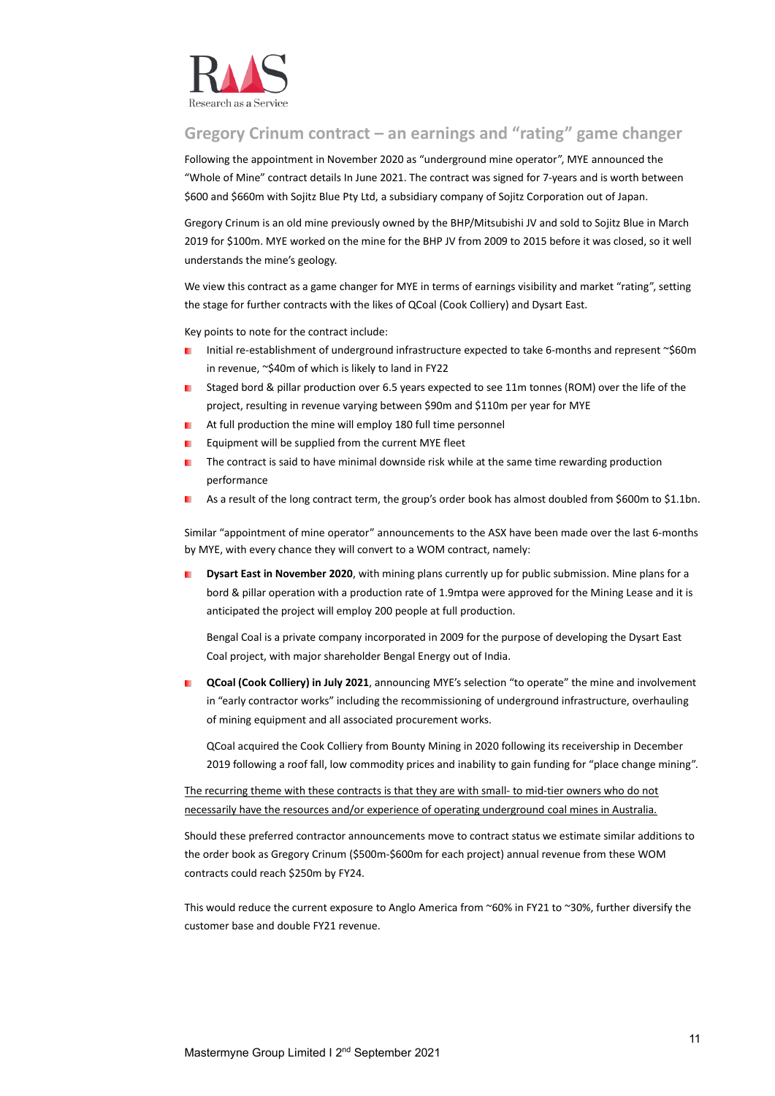

#### <span id="page-10-0"></span>**Gregory Crinum contract – an earnings and "rating" game changer**

Following the appointment in November 2020 as "underground mine operator", MYE announced the "Whole of Mine" contract details In June 2021. The contract was signed for 7-years and is worth between \$600 and \$660m with Sojitz Blue Pty Ltd, a subsidiary company of Sojitz Corporation out of Japan.

Gregory Crinum is an old mine previously owned by the BHP/Mitsubishi JV and sold to Sojitz Blue in March 2019 for \$100m. MYE worked on the mine for the BHP JV from 2009 to 2015 before it was closed, so it well understands the mine's geology.

We view this contract as a game changer for MYE in terms of earnings visibility and market "rating", setting the stage for further contracts with the likes of QCoal (Cook Colliery) and Dysart East.

Key points to note for the contract include:

- Initial re-establishment of underground infrastructure expected to take 6-months and represent ~\$60m in revenue, ~\$40m of which is likely to land in FY22
- Staged bord & pillar production over 6.5 years expected to see 11m tonnes (ROM) over the life of the project, resulting in revenue varying between \$90m and \$110m per year for MYE
- At full production the mine will employ 180 full time personnel
- Equipment will be supplied from the current MYE fleet
- The contract is said to have minimal downside risk while at the same time rewarding production performance
- As a result of the long contract term, the group's order book has almost doubled from \$600m to \$1.1bn.

Similar "appointment of mine operator" announcements to the ASX have been made over the last 6-months by MYE, with every chance they will convert to a WOM contract, namely:

**Dysart East in November 2020**, with mining plans currently up for public submission. Mine plans for a bord & pillar operation with a production rate of 1.9mtpa were approved for the Mining Lease and it is anticipated the project will employ 200 people at full production.

Bengal Coal is a private company incorporated in 2009 for the purpose of developing the Dysart East Coal project, with major shareholder Bengal Energy out of India.

**QCoal (Cook Colliery) in July 2021**, announcing MYE's selection "to operate" the mine and involvement in "early contractor works" including the recommissioning of underground infrastructure, overhauling of mining equipment and all associated procurement works.

QCoal acquired the Cook Colliery from Bounty Mining in 2020 following its receivership in December 2019 following a roof fall, low commodity prices and inability to gain funding for "place change mining".

The recurring theme with these contracts is that they are with small- to mid-tier owners who do not necessarily have the resources and/or experience of operating underground coal mines in Australia.

Should these preferred contractor announcements move to contract status we estimate similar additions to the order book as Gregory Crinum (\$500m-\$600m for each project) annual revenue from these WOM contracts could reach \$250m by FY24.

This would reduce the current exposure to Anglo America from ~60% in FY21 to ~30%, further diversify the customer base and double FY21 revenue.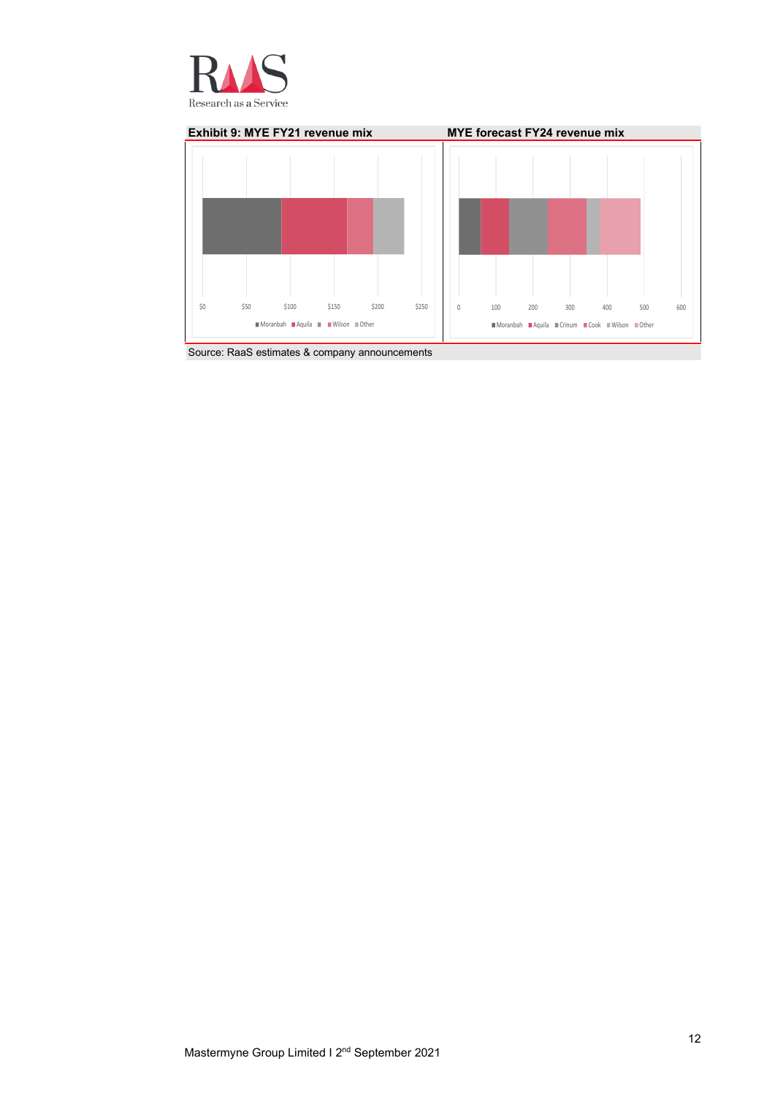



Source: RaaS estimates & company announcements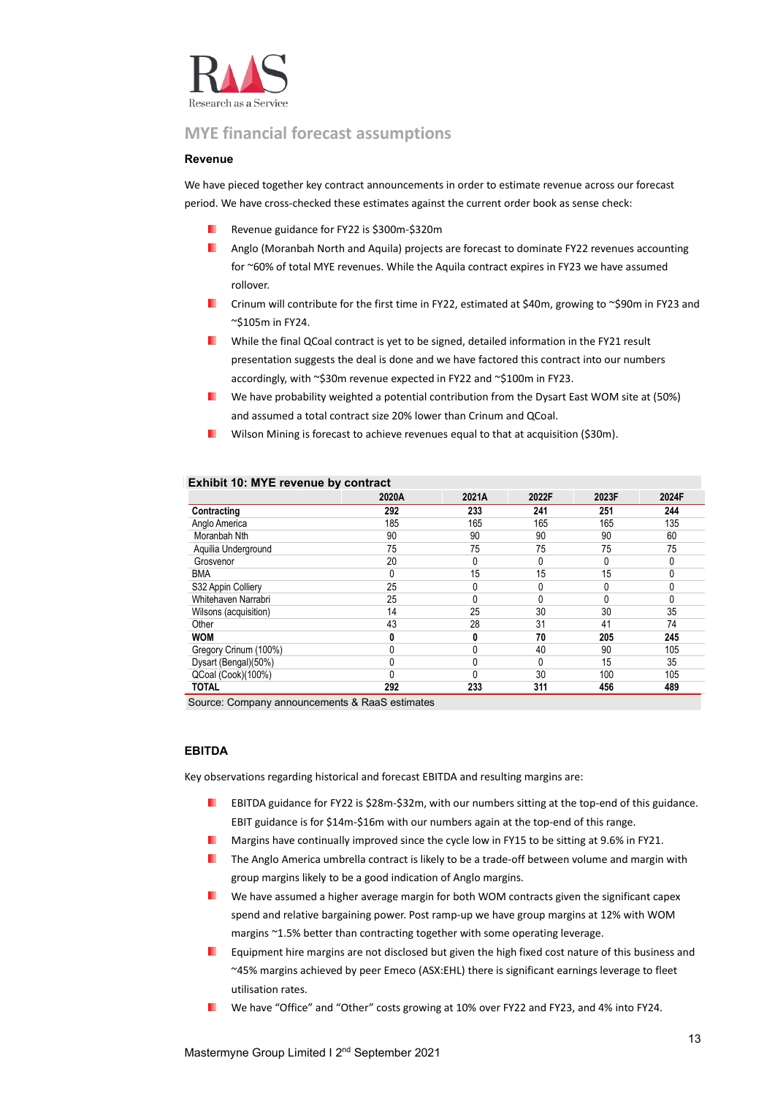

#### <span id="page-12-0"></span>**MYE financial forecast assumptions**

#### **Revenue**

We have pieced together key contract announcements in order to estimate revenue across our forecast period. We have cross-checked these estimates against the current order book as sense check:

- Revenue guidance for FY22 is \$300m-\$320m
- Anglo (Moranbah North and Aquila) projects are forecast to dominate FY22 revenues accounting . for ~60% of total MYE revenues. While the Aquila contract expires in FY23 we have assumed rollover.
- Crinum will contribute for the first time in FY22, estimated at \$40m, growing to ~\$90m in FY23 and ~\$105m in FY24.
- **Now the final QCoal contract is yet to be signed, detailed information in the FY21 result** presentation suggests the deal is done and we have factored this contract into our numbers accordingly, with ~\$30m revenue expected in FY22 and ~\$100m in FY23.
- We have probability weighted a potential contribution from the Dysart East WOM site at (50%) **START** and assumed a total contract size 20% lower than Crinum and QCoal.
- ш Wilson Mining is forecast to achieve revenues equal to that at acquisition (\$30m).

|                       | 2020A | 2021A | 2022F | 2023F | 2024F        |
|-----------------------|-------|-------|-------|-------|--------------|
| Contracting           | 292   | 233   | 241   | 251   | 244          |
| Anglo America         | 185   | 165   | 165   | 165   | 135          |
| Moranbah Nth          | 90    | 90    | 90    | 90    | 60           |
| Aquilia Underground   | 75    | 75    | 75    | 75    | 75           |
| Grosvenor             | 20    | 0     |       | 0     | 0            |
| <b>BMA</b>            |       | 15    | 15    | 15    | 0            |
| S32 Appin Colliery    | 25    |       |       | 0     | 0            |
| Whitehaven Narrabri   | 25    |       |       | 0     | $\mathbf{0}$ |
| Wilsons (acquisition) | 14    | 25    | 30    | 30    | 35           |
| Other                 | 43    | 28    | 31    | 41    | 74           |
| <b>WOM</b>            |       | 0     | 70    | 205   | 245          |
| Gregory Crinum (100%) |       |       | 40    | 90    | 105          |
| Dysart (Bengal)(50%)  |       | 0     | 0     | 15    | 35           |
| QCoal (Cook)(100%)    |       |       | 30    | 100   | 105          |
| <b>TOTAL</b>          | 292   | 233   | 311   | 456   | 489          |

#### **Exhibit 10: MYE revenue by contract**

Source: Company announcements & RaaS estimates

#### **EBITDA**

Key observations regarding historical and forecast EBITDA and resulting margins are:

- . EBITDA guidance for FY22 is \$28m-\$32m, with our numbers sitting at the top-end of this guidance. EBIT guidance is for \$14m-\$16m with our numbers again at the top-end of this range.
- Margins have continually improved since the cycle low in FY15 to be sitting at 9.6% in FY21.
- **The Anglo America umbrella contract is likely to be a trade-off between volume and margin with** group margins likely to be a good indication of Anglo margins.
- We have assumed a higher average margin for both WOM contracts given the significant capex . spend and relative bargaining power. Post ramp-up we have group margins at 12% with WOM margins ~1.5% better than contracting together with some operating leverage.
- Equipment hire margins are not disclosed but given the high fixed cost nature of this business and . ~45% margins achieved by peer Emeco (ASX:EHL) there is significant earnings leverage to fleet utilisation rates.
- We have "Office" and "Other" costs growing at 10% over FY22 and FY23, and 4% into FY24.ш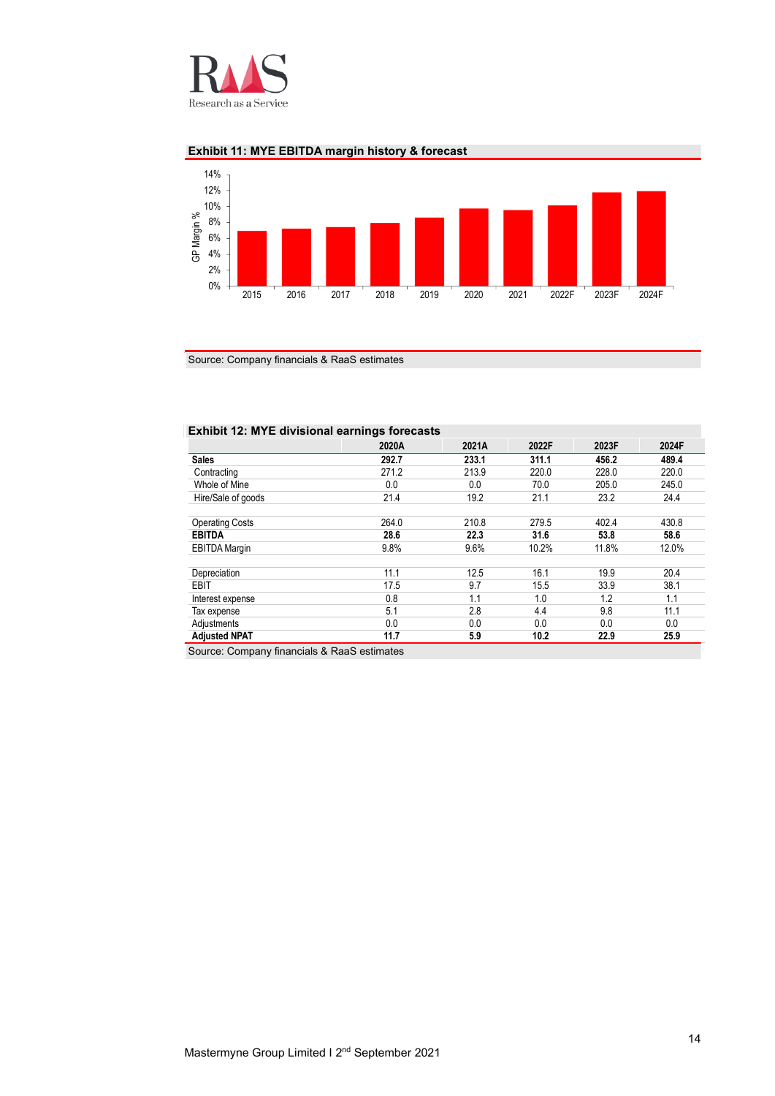

#### **Exhibit 11: MYE EBITDA margin history & forecast**



Source: Company financials & RaaS estimates

#### **Exhibit 12: MYE divisional earnings forecasts**

| 2020A | 2021A | 2022F | 2023F | 2024F |
|-------|-------|-------|-------|-------|
| 292.7 | 233.1 | 311.1 | 456.2 | 489.4 |
| 271.2 | 213.9 | 220.0 | 228.0 | 220.0 |
| 0.0   | 0.0   | 70.0  | 205.0 | 245.0 |
| 21.4  | 19.2  | 21.1  | 23.2  | 24.4  |
|       |       |       |       |       |
| 264.0 | 210.8 | 279.5 | 402.4 | 430.8 |
| 28.6  | 22.3  | 31.6  | 53.8  | 58.6  |
| 9.8%  | 9.6%  | 10.2% | 11.8% | 12.0% |
|       |       |       |       |       |
| 11.1  | 12.5  | 16.1  | 19.9  | 20.4  |
| 17.5  | 9.7   | 15.5  | 33.9  | 38.1  |
| 0.8   | 1.1   | 1.0   | 1.2   | 1.1   |
| 5.1   | 2.8   | 4.4   | 9.8   | 11.1  |
| 0.0   | 0.0   | 0.0   | 0.0   | 0.0   |
| 11.7  | 5.9   | 10.2  | 22.9  | 25.9  |
|       |       |       |       |       |

Source: Company financials & RaaS estimates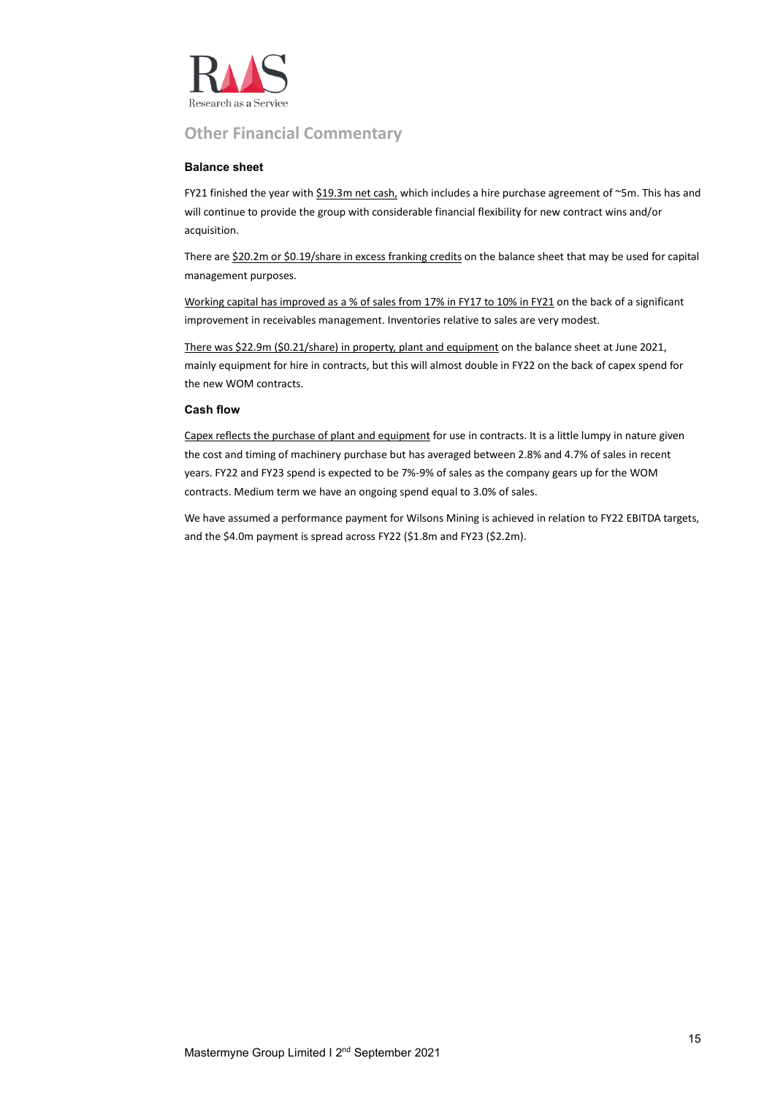

#### **Other Financial Commentary**

#### **Balance sheet**

FY21 finished the year with  $$19.3m$  net cash, which includes a hire purchase agreement of ~5m. This has and will continue to provide the group with considerable financial flexibility for new contract wins and/or acquisition.

There are \$20.2m or \$0.19/share in excess franking credits on the balance sheet that may be used for capital management purposes.

Working capital has improved as a % of sales from 17% in FY17 to 10% in FY21 on the back of a significant improvement in receivables management. Inventories relative to sales are very modest.

There was \$22.9m (\$0.21/share) in property, plant and equipment on the balance sheet at June 2021, mainly equipment for hire in contracts, but this will almost double in FY22 on the back of capex spend for the new WOM contracts.

#### **Cash flow**

Capex reflects the purchase of plant and equipment for use in contracts. It is a little lumpy in nature given the cost and timing of machinery purchase but has averaged between 2.8% and 4.7% of sales in recent years. FY22 and FY23 spend is expected to be 7%-9% of sales as the company gears up for the WOM contracts. Medium term we have an ongoing spend equal to 3.0% of sales.

We have assumed a performance payment for Wilsons Mining is achieved in relation to FY22 EBITDA targets, and the \$4.0m payment is spread across FY22 (\$1.8m and FY23 (\$2.2m).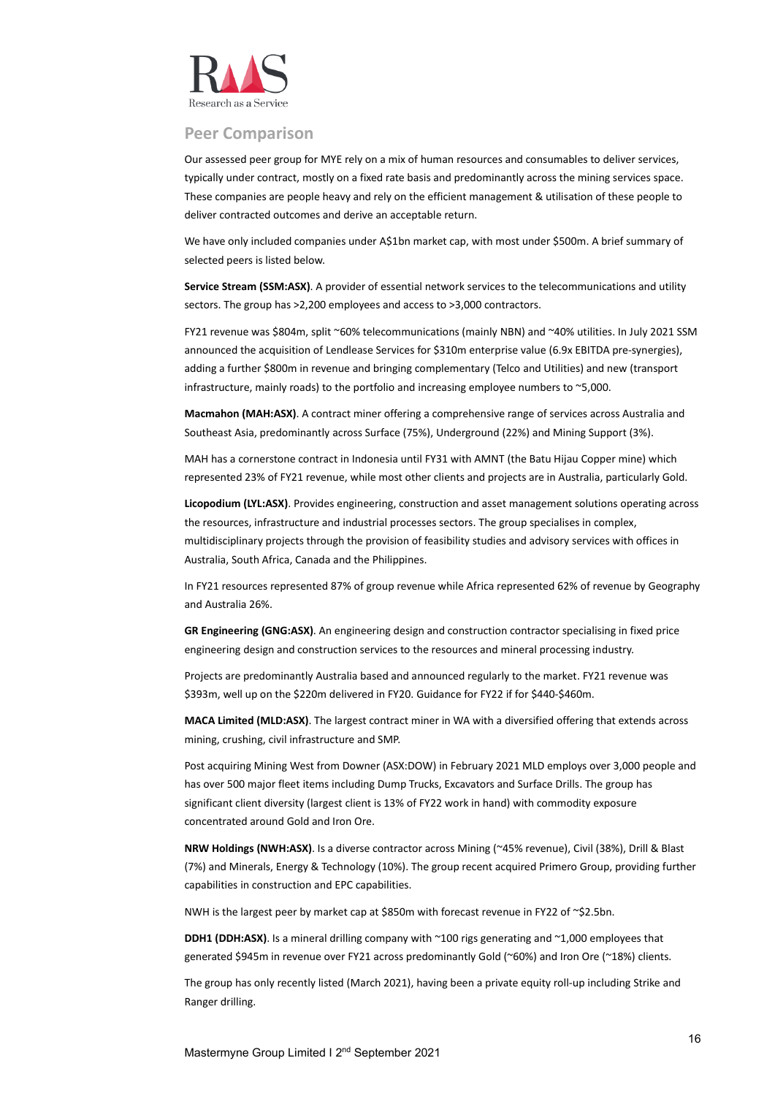

#### <span id="page-15-0"></span>**Peer Comparison**

Our assessed peer group for MYE rely on a mix of human resources and consumables to deliver services, typically under contract, mostly on a fixed rate basis and predominantly across the mining services space. These companies are people heavy and rely on the efficient management & utilisation of these people to deliver contracted outcomes and derive an acceptable return.

We have only included companies under A\$1bn market cap, with most under \$500m. A brief summary of selected peers is listed below.

**Service Stream (SSM:ASX)**. A provider of essential network services to the telecommunications and utility sectors. The group has >2,200 employees and access to >3,000 contractors.

FY21 revenue was \$804m, split ~60% telecommunications (mainly NBN) and ~40% utilities. In July 2021 SSM announced the acquisition of Lendlease Services for \$310m enterprise value (6.9x EBITDA pre-synergies), adding a further \$800m in revenue and bringing complementary (Telco and Utilities) and new (transport infrastructure, mainly roads) to the portfolio and increasing employee numbers to ~5,000.

**Macmahon (MAH:ASX)**. A contract miner offering a comprehensive range of services across Australia and Southeast Asia, predominantly across Surface (75%), Underground (22%) and Mining Support (3%).

MAH has a cornerstone contract in Indonesia until FY31 with AMNT (the Batu Hijau Copper mine) which represented 23% of FY21 revenue, while most other clients and projects are in Australia, particularly Gold.

**Licopodium (LYL:ASX)**. Provides engineering, construction and asset management solutions operating across the resources, infrastructure and industrial processes sectors. The group specialises in complex, multidisciplinary projects through the provision of feasibility studies and advisory services with offices in Australia, South Africa, Canada and the Philippines.

In FY21 resources represented 87% of group revenue while Africa represented 62% of revenue by Geography and Australia 26%.

**GR Engineering (GNG:ASX)**. An engineering design and construction contractor specialising in fixed price engineering design and construction services to the resources and mineral processing industry.

Projects are predominantly Australia based and announced regularly to the market. FY21 revenue was \$393m, well up on the \$220m delivered in FY20. Guidance for FY22 if for \$440-\$460m.

**MACA Limited (MLD:ASX)**. The largest contract miner in WA with a diversified offering that extends across mining, crushing, civil infrastructure and SMP.

Post acquiring Mining West from Downer (ASX:DOW) in February 2021 MLD employs over 3,000 people and has over 500 major fleet items including Dump Trucks, Excavators and Surface Drills. The group has significant client diversity (largest client is 13% of FY22 work in hand) with commodity exposure concentrated around Gold and Iron Ore.

**NRW Holdings (NWH:ASX)**. Is a diverse contractor across Mining (~45% revenue), Civil (38%), Drill & Blast (7%) and Minerals, Energy & Technology (10%). The group recent acquired Primero Group, providing further capabilities in construction and EPC capabilities.

NWH is the largest peer by market cap at \$850m with forecast revenue in FY22 of ~\$2.5bn.

**DDH1 (DDH:ASX)**. Is a mineral drilling company with ~100 rigs generating and ~1,000 employees that generated \$945m in revenue over FY21 across predominantly Gold (~60%) and Iron Ore (~18%) clients.

The group has only recently listed (March 2021), having been a private equity roll-up including Strike and Ranger drilling.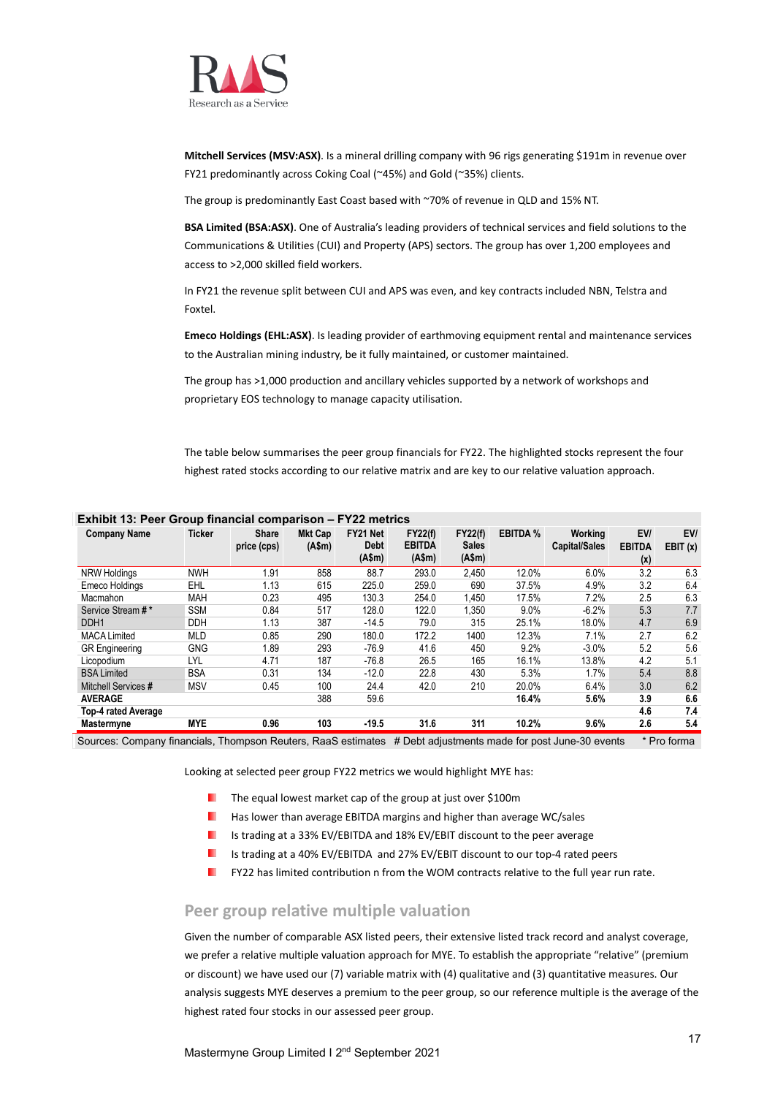

**Mitchell Services (MSV:ASX)**. Is a mineral drilling company with 96 rigs generating \$191m in revenue over FY21 predominantly across Coking Coal (~45%) and Gold (~35%) clients.

The group is predominantly East Coast based with ~70% of revenue in QLD and 15% NT.

**BSA Limited (BSA:ASX)**. One of Australia's leading providers of technical services and field solutions to the Communications & Utilities (CUI) and Property (APS) sectors. The group has over 1,200 employees and access to >2,000 skilled field workers.

In FY21 the revenue split between CUI and APS was even, and key contracts included NBN, Telstra and Foxtel.

**Emeco Holdings (EHL:ASX)**. Is leading provider of earthmoving equipment rental and maintenance services to the Australian mining industry, be it fully maintained, or customer maintained.

The group has >1,000 production and ancillary vehicles supported by a network of workshops and proprietary EOS technology to manage capacity utilisation.

The table below summarises the peer group financials for FY22. The highlighted stocks represent the four highest rated stocks according to our relative matrix and are key to our relative valuation approach.

| <b>Company Name</b>   | <b>Ticker</b> | <b>Share</b><br>price (cps) | <b>Mkt Cap</b><br>(A\$m) | FY21 Net<br><b>Debt</b><br>(A\$m) | <b>FY22(f)</b><br><b>EBITDA</b><br>(A\$m) | <b>FY22(f)</b><br><b>Sales</b><br>(A\$m) | <b>EBITDA %</b> | Workina<br><b>Capital/Sales</b> | EV/<br><b>EBITDA</b><br>(x) | EV/<br>EBIT(x) |
|-----------------------|---------------|-----------------------------|--------------------------|-----------------------------------|-------------------------------------------|------------------------------------------|-----------------|---------------------------------|-----------------------------|----------------|
| <b>NRW Holdings</b>   | <b>NWH</b>    | 1.91                        | 858                      | 88.7                              | 293.0                                     | 2.450                                    | 12.0%           | 6.0%                            | 3.2                         | 6.3            |
| Emeco Holdings        | <b>EHL</b>    | 1.13                        | 615                      | 225.0                             | 259.0                                     | 690                                      | 37.5%           | 4.9%                            | 3.2                         | 6.4            |
| Macmahon              | <b>MAH</b>    | 0.23                        | 495                      | 130.3                             | 254.0                                     | 1.450                                    | 17.5%           | 7.2%                            | 2.5                         | 6.3            |
| Service Stream #*     | <b>SSM</b>    | 0.84                        | 517                      | 128.0                             | 122.0                                     | 1,350                                    | 9.0%            | $-6.2%$                         | 5.3                         | 7.7            |
| DDH <sub>1</sub>      | DDH           | 1.13                        | 387                      | $-14.5$                           | 79.0                                      | 315                                      | 25.1%           | 18.0%                           | 4.7                         | 6.9            |
| <b>MACA Limited</b>   | MLD           | 0.85                        | 290                      | 180.0                             | 172.2                                     | 1400                                     | 12.3%           | 7.1%                            | 2.7                         | 6.2            |
| <b>GR</b> Engineering | <b>GNG</b>    | 1.89                        | 293                      | $-76.9$                           | 41.6                                      | 450                                      | 9.2%            | $-3.0%$                         | 5.2                         | 5.6            |
| Licopodium            | LYL           | 4.71                        | 187                      | $-76.8$                           | 26.5                                      | 165                                      | 16.1%           | 13.8%                           | 4.2                         | 5.1            |
| <b>BSA Limited</b>    | <b>BSA</b>    | 0.31                        | 134                      | $-12.0$                           | 22.8                                      | 430                                      | 5.3%            | 1.7%                            | 5.4                         | 8.8            |
| Mitchell Services #   | <b>MSV</b>    | 0.45                        | 100                      | 24.4                              | 42.0                                      | 210                                      | 20.0%           | 6.4%                            | 3.0                         | 6.2            |
| <b>AVERAGE</b>        |               |                             | 388                      | 59.6                              |                                           |                                          | 16.4%           | 5.6%                            | 3.9                         | 6.6            |
| Top-4 rated Average   |               |                             |                          |                                   |                                           |                                          |                 |                                 | 4.6                         | 7.4            |
| Mastermyne            | <b>MYE</b>    | 0.96                        | 103                      | $-19.5$                           | 31.6                                      | 311                                      | 10.2%           | 9.6%                            | 2.6                         | 5.4            |

#### **Exhibit 13: Peer Group financial comparison – FY22 metrics**

Sources: Company financials, Thompson Reuters, RaaS estimates # Debt adjustments made for post June-30 events \* Pro forma

Looking at selected peer group FY22 metrics we would highlight MYE has:

- **The equal lowest market cap of the group at just over \$100m**
- . Has lower than average EBITDA margins and higher than average WC/sales
- ٠. Is trading at a 33% EV/EBITDA and 18% EV/EBIT discount to the peer average
- ٠. Is trading at a 40% EV/EBITDA and 27% EV/EBIT discount to our top-4 rated peers
- ٠. FY22 has limited contribution n from the WOM contracts relative to the full year run rate.

#### <span id="page-16-0"></span>**Peer group relative multiple valuation**

Given the number of comparable ASX listed peers, their extensive listed track record and analyst coverage, we prefer a relative multiple valuation approach for MYE. To establish the appropriate "relative" (premium or discount) we have used our (7) variable matrix with (4) qualitative and (3) quantitative measures. Our analysis suggests MYE deserves a premium to the peer group, so our reference multiple is the average of the highest rated four stocks in our assessed peer group.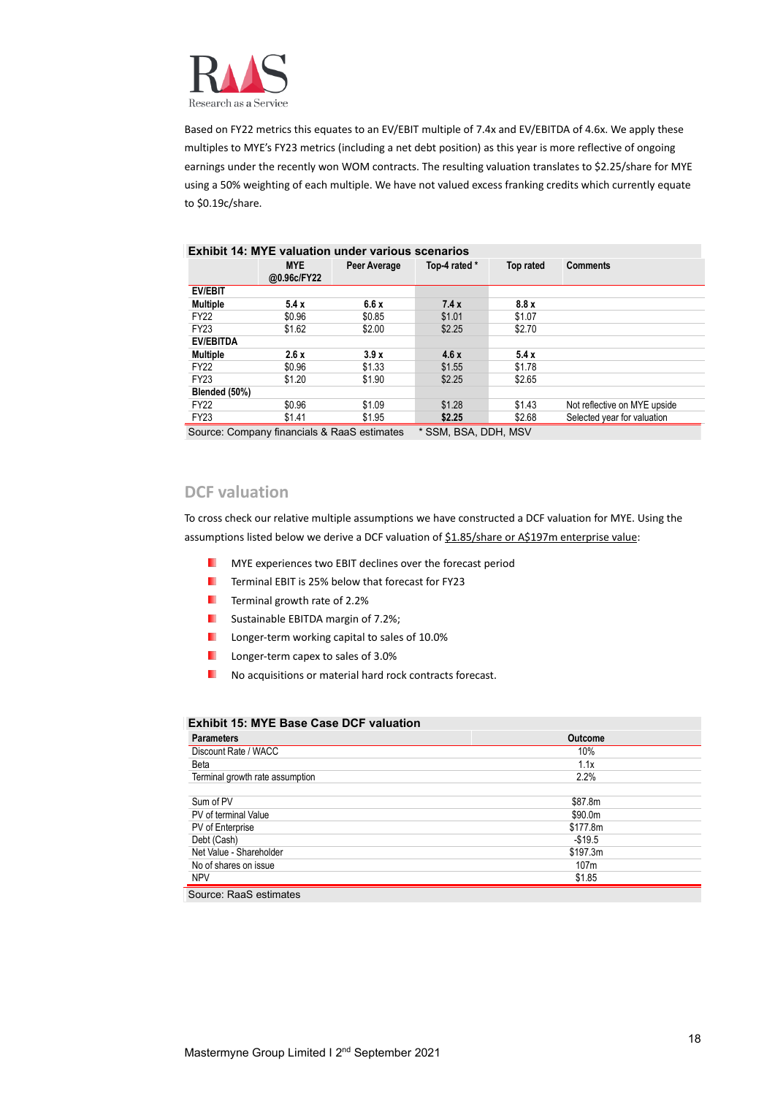

Based on FY22 metrics this equates to an EV/EBIT multiple of 7.4x and EV/EBITDA of 4.6x. We apply these multiples to MYE's FY23 metrics (including a net debt position) as this year is more reflective of ongoing earnings under the recently won WOM contracts. The resulting valuation translates to \$2.25/share for MYE using a 50% weighting of each multiple. We have not valued excess franking credits which currently equate to \$0.19c/share.

|                  |                                           | Exhibit 14: MTE valuation under various scenarios |                                |        |                              |
|------------------|-------------------------------------------|---------------------------------------------------|--------------------------------|--------|------------------------------|
|                  | <b>MYE</b><br>Peer Average<br>@0.96c/FY22 |                                                   | Top-4 rated *<br>Top rated     |        | <b>Comments</b>              |
| <b>EV/EBIT</b>   |                                           |                                                   |                                |        |                              |
| <b>Multiple</b>  | 5.4x                                      | 6.6x                                              | 7.4x                           | 8.8x   |                              |
| <b>FY22</b>      | \$0.96                                    | \$0.85                                            | \$1.01                         | \$1.07 |                              |
| <b>FY23</b>      | \$1.62                                    | \$2.00                                            | \$2.25                         | \$2.70 |                              |
| <b>EV/EBITDA</b> |                                           |                                                   |                                |        |                              |
| <b>Multiple</b>  | 2.6x                                      | 3.9x                                              | 4.6x                           | 5.4x   |                              |
| <b>FY22</b>      | \$0.96                                    | \$1.33                                            | \$1.55                         | \$1.78 |                              |
| FY23             | \$1.20                                    | \$1.90                                            | \$2.25                         | \$2.65 |                              |
| Blended (50%)    |                                           |                                                   |                                |        |                              |
| <b>FY22</b>      | \$0.96                                    | \$1.09                                            | \$1.28                         | \$1.43 | Not reflective on MYE upside |
| FY23             | \$1.41                                    | \$1.95                                            | \$2.25                         | \$2.68 | Selected year for valuation  |
|                  |                                           |                                                   | $*$ $0011$ $001$ $0111$ $1011$ |        |                              |

#### **Exhibit 14: MYE valuation under various scenarios**

Source: Company financials & RaaS estimates \* SSM, BSA, DDH, MSV

#### <span id="page-17-0"></span>**DCF valuation**

To cross check our relative multiple assumptions we have constructed a DCF valuation for MYE. Using the assumptions listed below we derive a DCF valuation of \$1.85/share or A\$197m enterprise value:

- MYE experiences two EBIT declines over the forecast period .
- ٠. Terminal EBIT is 25% below that forecast for FY23
- Terminal growth rate of 2.2% ш
- ш Sustainable EBITDA margin of 7.2%;
- ٠. Longer-term working capital to sales of 10.0%
- ٠. Longer-term capex to sales of 3.0%
- ٠ No acquisitions or material hard rock contracts forecast.

#### **Exhibit 15: MYE Base Case DCF valuation**

| <b>Parameters</b>               | <b>Outcome</b>   |
|---------------------------------|------------------|
| Discount Rate / WACC            | 10%              |
| Beta                            | 1.1x             |
| Terminal growth rate assumption | 2.2%             |
|                                 |                  |
| Sum of PV                       | \$87.8m          |
| PV of terminal Value            | \$90.0m          |
| PV of Enterprise                | \$177.8m         |
| Debt (Cash)                     | $-$19.5$         |
| Net Value - Shareholder         | \$197.3m         |
| No of shares on issue           | 107 <sub>m</sub> |
| <b>NPV</b>                      | \$1.85           |
|                                 |                  |

Source: RaaS estimates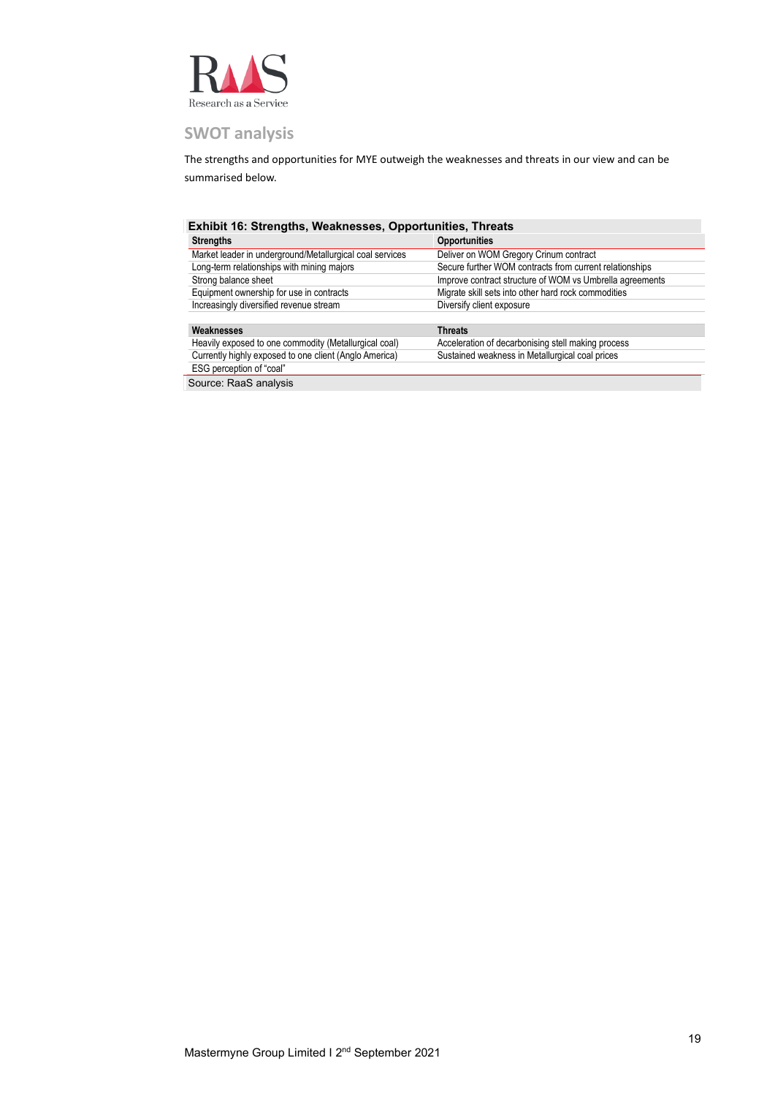

#### <span id="page-18-0"></span>**SWOT analysis**

The strengths and opportunities for MYE outweigh the weaknesses and threats in our view and can be summarised below.

| Exhibit 16: Strengths, Weaknesses, Opportunities, Threats |                                                          |
|-----------------------------------------------------------|----------------------------------------------------------|
| <b>Strengths</b>                                          | <b>Opportunities</b>                                     |
| Market leader in underground/Metallurgical coal services  | Deliver on WOM Gregory Crinum contract                   |
| Long-term relationships with mining majors                | Secure further WOM contracts from current relationships  |
| Strong balance sheet                                      | Improve contract structure of WOM vs Umbrella agreements |
| Equipment ownership for use in contracts                  | Migrate skill sets into other hard rock commodities      |
| Increasingly diversified revenue stream                   | Diversify client exposure                                |
|                                                           |                                                          |
| Weaknesses                                                | <b>Threats</b>                                           |
| Heavily exposed to one commodity (Metallurgical coal)     | Acceleration of decarbonising stell making process       |
| Currently highly exposed to one client (Anglo America)    | Sustained weakness in Metallurgical coal prices          |
| ESG perception of "coal"                                  |                                                          |
| Source: RaaS analysis                                     |                                                          |

Mastermyne Group Limited I 2<sup>nd</sup> September 2021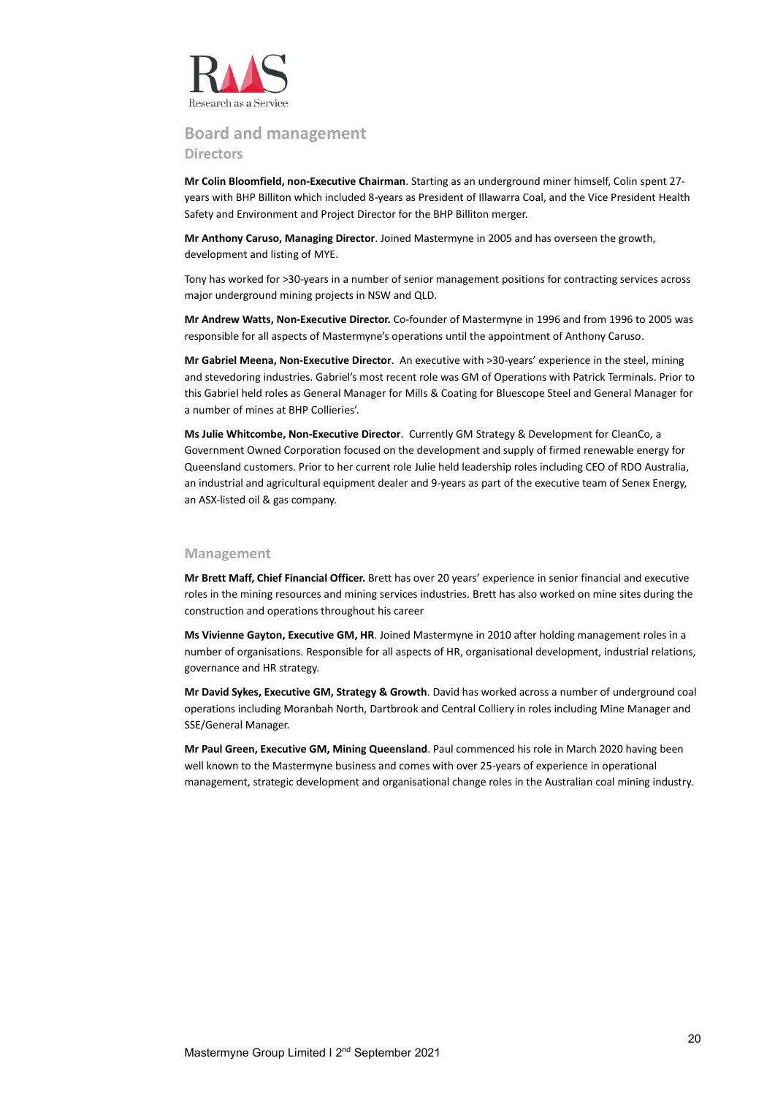

#### <span id="page-19-0"></span>**Board and management Directors**

**Mr Colin Bloomfield, non-Executive Chairman**. Starting as an underground miner himself, Colin spent 27 years with BHP Billiton which included 8-years as President of Illawarra Coal, and the Vice President Health Safety and Environment and Project Director for the BHP Billiton merger.

**Mr Anthony Caruso, Managing Director**. Joined Mastermyne in 2005 and has overseen the growth, development and listing of MYE.

Tony has worked for >30-years in a number of senior management positions for contracting services across major underground mining projects in NSW and QLD.

**Mr Andrew Watts, Non-Executive Director.** Co-founder of Mastermyne in 1996 and from 1996 to 2005 was responsible for all aspects of Mastermyne's operations until the appointment of Anthony Caruso.

**Mr Gabriel Meena, Non-Executive Director**. An executive with >30-years' experience in the steel, mining and stevedoring industries. Gabriel's most recent role was GM of Operations with Patrick Terminals. Prior to this Gabriel held roles as General Manager for Mills & Coating for Bluescope Steel and General Manager for a number of mines at BHP Collieries'.

**Ms Julie Whitcombe, Non-Executive Director**. Currently GM Strategy & Development for CleanCo, a Government Owned Corporation focused on the development and supply of firmed renewable energy for Queensland customers. Prior to her current role Julie held leadership roles including CEO of RDO Australia, an industrial and agricultural equipment dealer and 9-years as part of the executive team of Senex Energy, an ASX-listed oil & gas company.

#### **Management**

**Mr Brett Maff, Chief Financial Officer.** Brett has over 20 years' experience in senior financial and executive roles in the mining resources and mining services industries. Brett has also worked on mine sites during the construction and operations throughout his career

**Ms Vivienne Gayton, Executive GM, HR**. Joined Mastermyne in 2010 after holding management roles in a number of organisations. Responsible for all aspects of HR, organisational development, industrial relations, governance and HR strategy.

**Mr David Sykes, Executive GM, Strategy & Growth**. David has worked across a number of underground coal operations including Moranbah North, Dartbrook and Central Colliery in roles including Mine Manager and SSE/General Manager.

**Mr Paul Green, Executive GM, Mining Queensland**. Paul commenced his role in March 2020 having been well known to the Mastermyne business and comes with over 25-years of experience in operational management, strategic development and organisational change roles in the Australian coal mining industry.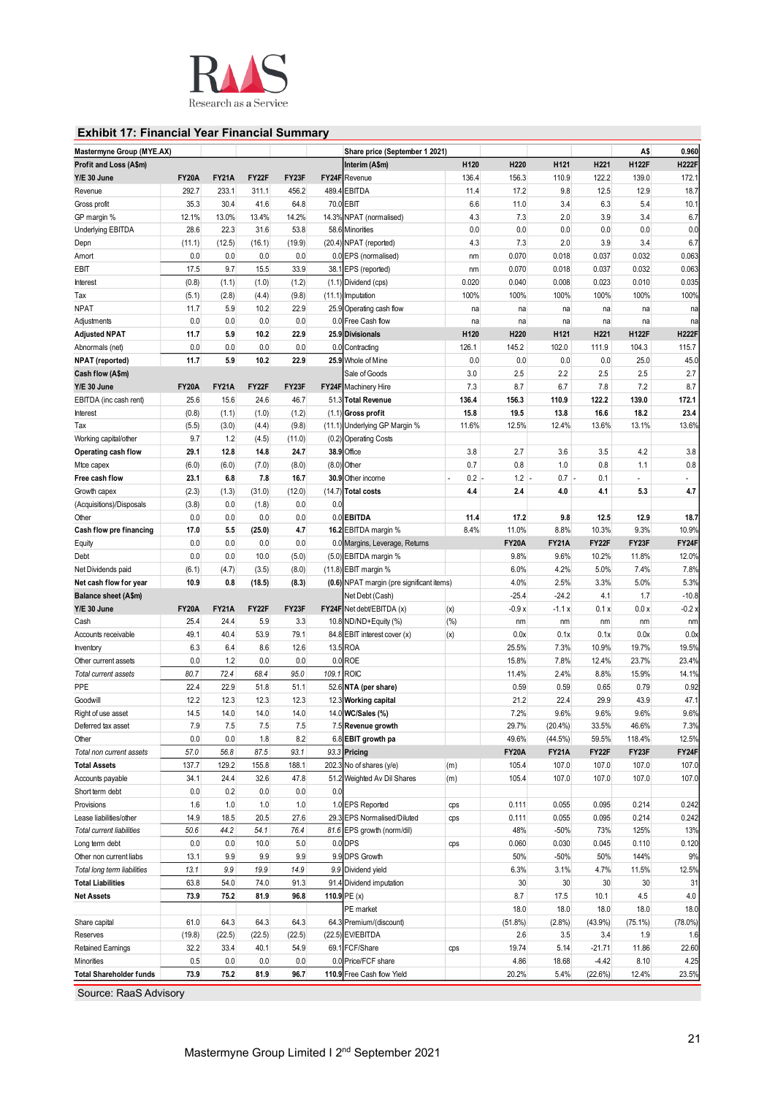

#### **Exhibit 17: Financial Year Financial Summary**

| Mastermyne Group (MYE.AX)      |              |              |        |        |        | Share price (September 1 2021)            |        |              |              |          | A\$          | 0.960        |
|--------------------------------|--------------|--------------|--------|--------|--------|-------------------------------------------|--------|--------------|--------------|----------|--------------|--------------|
| Profit and Loss (A\$m)         |              |              |        |        |        | Interim (A\$m)                            | H120   | H220         | H121         | H221     | <b>H122F</b> | <b>H222F</b> |
| Y/E 30 June                    | <b>FY20A</b> | <b>FY21A</b> | FY22F  | FY23F  |        | FY24F Revenue                             | 136.4  | 156.3        | 110.9        | 122.2    | 139.0        | 172.1        |
| Revenue                        | 292.7        | 233.1        | 311.1  | 456.2  | 489.4  | <b>EBITDA</b>                             | 11.4   | 17.2         | 9.8          | 12.5     | 12.9         | 18.7         |
| Gross profit                   | 35.3         | 30.4         | 41.6   | 64.8   |        | 70.0 EBIT                                 | 6.6    | 11.0         | 3.4          | 6.3      | 5.4          | 10.1         |
| GP margin %                    | 12.1%        | 13.0%        | 13.4%  | 14.2%  |        | 14.3% NPAT (normalised)                   | 4.3    | 7.3          | 2.0          | 3.9      | 3.4          | 6.7          |
| <b>Underlying EBITDA</b>       | 28.6         | 22.3         | 31.6   | 53.8   |        | 58.6 Minorities                           | 0.0    | 0.0          | 0.0          | 0.0      | 0.0          | 0.0          |
| Depn                           | (11.1)       | (12.5)       | (16.1) | (19.9) |        | (20.4) NPAT (reported)                    | 4.3    | 7.3          | 2.0          | 3.9      | 3.4          | 6.7          |
| Amort                          | 0.0          | 0.0          | 0.0    | 0.0    |        | 0.0 EPS (normalised)                      | nm     | 0.070        | 0.018        | 0.037    | 0.032        | 0.063        |
| EBIT                           | 17.5         | 9.7          | 15.5   | 33.9   | 38.1   | EPS (reported)                            | nm     | 0.070        | 0.018        | 0.037    | 0.032        | 0.063        |
| Interest                       | (0.8)        | (1.1)        | (1.0)  | (1.2)  |        | (1.1) Dividend (cps)                      | 0.020  | 0.040        | 0.008        | 0.023    | 0.010        | 0.035        |
| Tax                            | (5.1)        | (2.8)        | (4.4)  | (9.8)  | (11.1) | Imputation                                | 100%   | 100%         | 100%         | 100%     | 100%         | 100%         |
| <b>NPAT</b>                    | 11.7         | 5.9          | 10.2   | 22.9   | 25.9   | Operating cash flow                       | na     | na           | na           | na       | na           | na           |
| Adjustments                    | 0.0          | 0.0          | 0.0    | 0.0    |        | 0.0 Free Cash flow                        | na     | na           | na           | na       | na           | na           |
| <b>Adjusted NPAT</b>           | 11.7         | 5.9          | 10.2   | 22.9   |        | 25.9 Divisionals                          | H120   | H220         | H121         | H221     | <b>H122F</b> | <b>H222F</b> |
| Abnormals (net)                | 0.0          | 0.0          | 0.0    | 0.0    |        | 0.0 Contracting                           | 126.1  | 145.2        | 102.0        | 111.9    | 104.3        | 115.7        |
| <b>NPAT</b> (reported)         | 11.7         | 5.9          | 10.2   | 22.9   | 25.9   | Whole of Mine                             | 0.0    | 0.0          | 0.0          | 0.0      | 25.0         | 45.0         |
| Cash flow (A\$m)               |              |              |        |        |        | Sale of Goods                             | 3.0    | 2.5          | 2.2          | 2.5      | 2.5          | 2.7          |
| Y/E 30 June                    | <b>FY20A</b> | <b>FY21A</b> | FY22F  | FY23F  |        | <b>FY24F</b> Machinery Hire               | 7.3    | 8.7          | 6.7          | 7.8      | 7.2          | 8.7          |
| EBITDA (inc cash rent)         | 25.6         | 15.6         | 24.6   | 46.7   |        | 51.3 Total Revenue                        | 136.4  | 156.3        | 110.9        | 122.2    | 139.0        | 172.1        |
| Interest                       | (0.8)        | (1.1)        | (1.0)  | (1.2)  |        | $(1.1)$ Gross profit                      | 15.8   | 19.5         | 13.8         | 16.6     | 18.2         | 23.4         |
| Tax                            | (5.5)        | (3.0)        | (4.4)  | (9.8)  |        | (11.1) Underlying GP Margin %             | 11.6%  | 12.5%        | 12.4%        | 13.6%    | 13.1%        | 13.6%        |
| Working capital/other          | 9.7          | 1.2          | (4.5)  | (11.0) | (0.2)  | <b>Operating Costs</b>                    |        |              |              |          |              |              |
| Operating cash flow            | 29.1         | 12.8         | 14.8   | 24.7   | 38.9   | Office                                    | 3.8    | 2.7          | 3.6          | 3.5      | 4.2          | 3.8          |
| Mtce capex                     | (6.0)        | (6.0)        | (7.0)  | (8.0)  | (8.0)  | Other                                     | 0.7    | 0.8          | 1.0          | 0.8      | 1.1          | 0.8          |
| Free cash flow                 | 23.1         | 6.8          | 7.8    | 16.7   | 30.9   | Other income                              | 0.2    | 1.2          | $0.7 -$      | 0.1      |              | $\omega$     |
| Growth capex                   | (2.3)        | (1.3)        | (31.0) | (12.0) | (14.7) | <b>Total costs</b>                        | 4.4    | 2.4          | 4.0          | 4.1      | 5.3          | 4.7          |
| (Acquisitions)/Disposals       | (3.8)        | 0.0          | (1.8)  | 0.0    | 0.0    |                                           |        |              |              |          |              |              |
| Other                          | 0.0          | 0.0          | 0.0    | 0.0    |        | 0.0 EBITDA                                | 11.4   | 17.2         | 9.8          | 12.5     | 12.9         | 18.7         |
| Cash flow pre financing        | 17.0         | 5.5          | (25.0) | 4.7    |        | 16.2 EBITDA margin %                      | 8.4%   | 11.0%        | 8.8%         | 10.3%    | 9.3%         | 10.9%        |
| Equity                         | 0.0          | 0.0          | 0.0    | 0.0    |        | 0.0 Margins, Leverage, Returns            |        | <b>FY20A</b> | <b>FY21A</b> | FY22F    | FY23F        | FY24F        |
| Debt                           | 0.0          | 0.0          | 10.0   | (5.0)  |        | (5.0) EBITDA margin %                     |        | 9.8%         | 9.6%         | 10.2%    | 11.8%        | 12.0%        |
| Net Dividends paid             | (6.1)        | (4.7)        | (3.5)  | (8.0)  |        | (11.8) EBIT margin %                      |        | 6.0%         | 4.2%         | 5.0%     | 7.4%         | 7.8%         |
| Net cash flow for year         | 10.9         | 0.8          | (18.5) | (8.3)  |        | (0.6) NPAT margin (pre significant items) |        | 4.0%         | 2.5%         | 3.3%     | 5.0%         | 5.3%         |
| Balance sheet (A\$m)           |              |              |        |        |        | Net Debt (Cash)                           |        | $-25.4$      | $-24.2$      | 4.1      | 1.7          | $-10.8$      |
| Y/E 30 June                    | <b>FY20A</b> | <b>FY21A</b> | FY22F  | FY23F  |        | FY24F Net debt/EBITDA (x)                 | (x)    | $-0.9x$      | $-1.1x$      | 0.1x     | 0.0 x        | $-0.2x$      |
| Cash                           | 25.4         | 24.4         | 5.9    | 3.3    |        | 10.8 ND/ND+Equity (%)                     | $(\%)$ | nm           | nm           | nm       | nm           | nm           |
| Accounts receivable            | 49.1         | 40.4         | 53.9   | 79.1   | 84.8   | EBIT interest cover (x)                   | (x)    | 0.0x         | 0.1x         | 0.1x     | 0.0x         | 0.0x         |
| Inventory                      | 6.3          | 6.4          | 8.6    | 12.6   |        | 13.5 ROA                                  |        | 25.5%        | 7.3%         | 10.9%    | 19.7%        | 19.5%        |
| Other current assets           | 0.0          | 1.2          | 0.0    | 0.0    |        | $0.0$ ROE                                 |        | 15.8%        | 7.8%         | 12.4%    | 23.7%        | 23.4%        |
| Total current assets           | 80.7         | 72.4         | 68.4   | 95.0   | 109.1  | <b>ROIC</b>                               |        | 11.4%        | 2.4%         | 8.8%     | 15.9%        | 14.1%        |
| PPE                            | 22.4         | 22.9         | 51.8   | 51.1   |        | 52.6 NTA (per share)                      |        | 0.59         | 0.59         | 0.65     | 0.79         | 0.92         |
| Goodwill                       | 12.2         | 12.3         | 12.3   | 12.3   | 12.3   | <b>Working capital</b>                    |        | 21.2         | 22.4         | 29.9     | 43.9         | 47.1         |
| Right of use asset             | 14.5         | 14.0         | 14.0   | 14.0   | 14.0   | WC/Sales (%)                              |        | 7.2%         | 9.6%         | 9.6%     | 9.6%         | 9.6%         |
| Deferred tax asset             | 7.9          | 7.5          | 7.5    | 7.5    |        | 7.5 Revenue growth                        |        | 29.7%        | $(20.4\%)$   | 33.5%    | 46.6%        | 7.3%         |
| Other                          | 0.0          | 0.0          | 1.8    | 8.2    |        | 6.8 EBIT growth pa                        |        | 49.6%        | (44.5%)      | 59.5%    | 118.4%       | 12.5%        |
| Total non current assets       | 57.0         | 56.8         | 87.5   | 93.1   |        | 93.3 Pricing                              |        | <b>FY20A</b> | <b>FY21A</b> | FY22F    | FY23F        | FY24F        |
| <b>Total Assets</b>            | 137.7        | 129.2        | 155.8  | 188.1  |        | 202.3 No of shares (y/e)                  | (m)    | 105.4        | 107.0        | 107.0    | 107.0        | 107.0        |
| Accounts payable               | 34.1         | 24.4         | 32.6   | 47.8   |        | 51.2 Weighted Av Dil Shares               | (m)    | 105.4        | 107.0        | 107.0    | 107.0        | 107.0        |
| Short term debt                | 0.0          | 0.2          | 0.0    | 0.0    | 0.0    |                                           |        |              |              |          |              |              |
| Provisions                     | 1.6          | 1.0          | 1.0    | 1.0    |        | 1.0 EPS Reported                          | cps    | 0.111        | 0.055        | 0.095    | 0.214        | 0.242        |
| Lease liabilities/other        | 14.9         | 18.5         | 20.5   | 27.6   |        | 29.3 EPS Normalised/Diluted               | cps    | 0.111        | 0.055        | 0.095    | 0.214        | 0.242        |
| Total current liabilities      | 50.6         | 44.2         | 54.1   | 76.4   |        | 81.6 EPS growth (norm/dil)                |        | 48%          | $-50%$       | 73%      | 125%         | 13%          |
| Long term debt                 | 0.0          | 0.0          | 10.0   | 5.0    |        | $0.0$ DPS                                 | cps    | 0.060        | 0.030        | 0.045    | 0.110        | 0.120        |
| Other non current liabs        | 13.1         | 9.9          | 9.9    | 9.9    |        | 9.9 DPS Growth                            |        | 50%          | $-50%$       | 50%      | 144%         | 9%           |
| Total long term liabilities    | 13.1         | 9.9          | 19.9   | 14.9   |        | 9.9 Dividend yield                        |        | 6.3%         | 3.1%         | 4.7%     | 11.5%        | 12.5%        |
| <b>Total Liabilities</b>       | 63.8         | 54.0         | 74.0   | 91.3   |        | 91.4 Dividend imputation                  |        | 30           | 30           | 30       | 30           | 31           |
| <b>Net Assets</b>              | 73.9         | 75.2         | 81.9   | 96.8   |        | 110.9 PE (x)                              |        | 8.7          | 17.5         | 10.1     | 4.5          | 4.0          |
|                                |              |              |        |        |        | PE market                                 |        | 18.0         | 18.0         | 18.0     | 18.0         | 18.0         |
| Share capital                  | 61.0         | 64.3         | 64.3   | 64.3   |        | 64.3 Premium/(discount)                   |        | (51.8%)      | (2.8%)       | (43.9%)  | $(75.1\%)$   | $(78.0\%)$   |
| Reserves                       | (19.8)       | (22.5)       | (22.5) | (22.5) |        | (22.5) EV/EBITDA                          |        | 2.6          | 3.5          | 3.4      | 1.9          | 1.6          |
| <b>Retained Earnings</b>       | 32.2         | 33.4         | 40.1   | 54.9   |        | 69.1 FCF/Share                            | cps    | 19.74        | 5.14         | $-21.71$ | 11.86        | 22.60        |
| Minorities                     | 0.5          | 0.0          | 0.0    | 0.0    |        | 0.0 Price/FCF share                       |        | 4.86         | 18.68        | $-4.42$  | 8.10         | 4.25         |
| <b>Total Shareholder funds</b> | 73.9         | 75.2         | 81.9   | 96.7   |        | 110.9 Free Cash flow Yield                |        | 20.2%        | 5.4%         | (22.6%)  | 12.4%        | 23.5%        |

Source: RaaS Advisory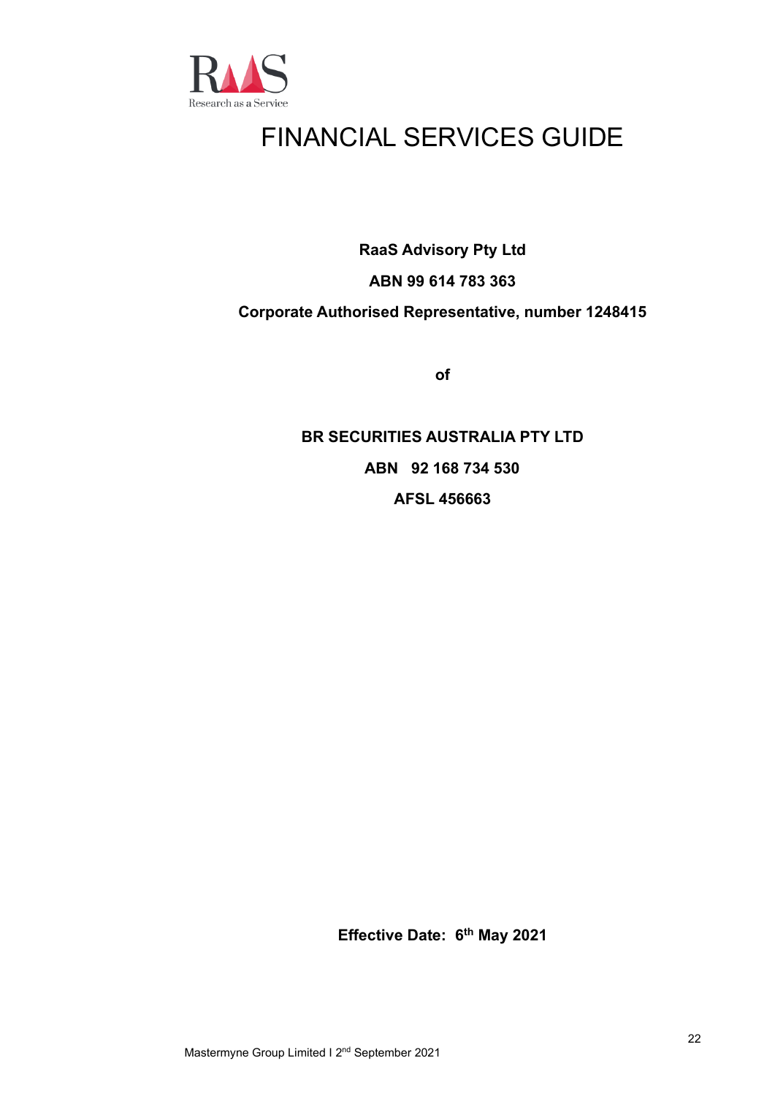

## FINANCIAL SERVICES GUIDE

**RaaS Advisory Pty Ltd**

#### **ABN 99 614 783 363**

#### **Corporate Authorised Representative, number 1248415**

**of**

## **BR SECURITIES AUSTRALIA PTY LTD ABN 92 168 734 530 AFSL 456663**

**Effective Date: 6 th May 2021**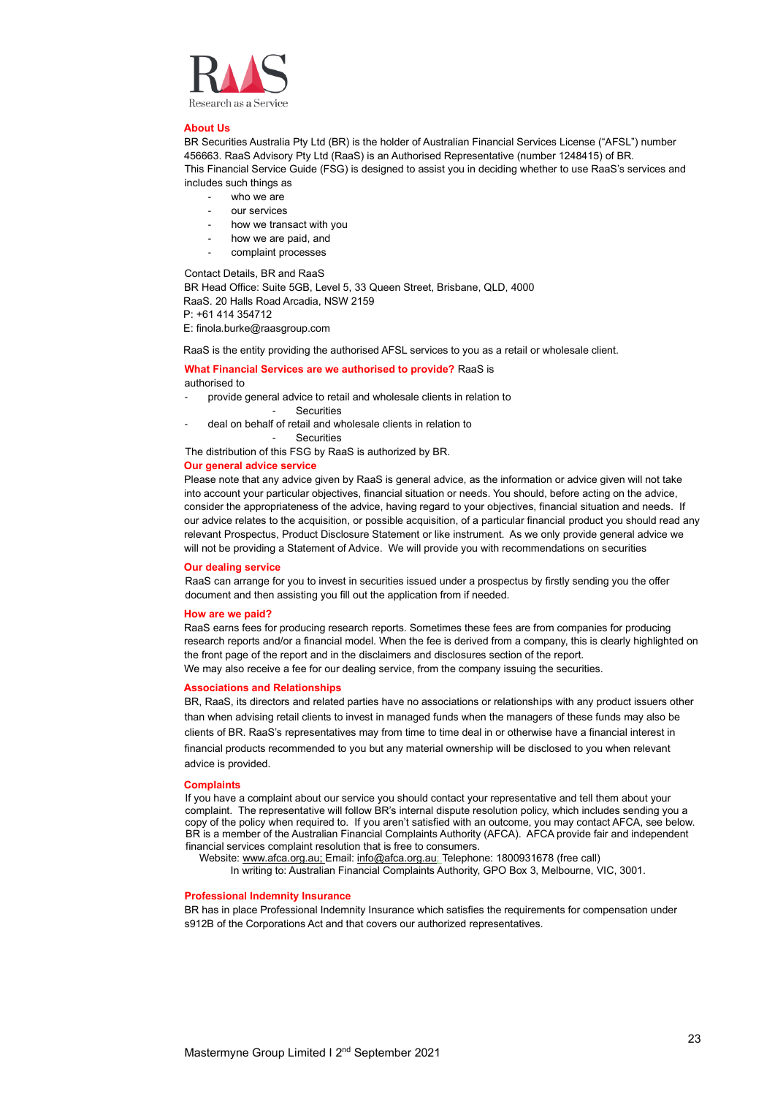

#### **About Us**

BR Securities Australia Pty Ltd (BR) is the holder of Australian Financial Services License ("AFSL") number 456663. RaaS Advisory Pty Ltd (RaaS) is an Authorised Representative (number 1248415) of BR. This Financial Service Guide (FSG) is designed to assist you in deciding whether to use RaaS's services and includes such things as

- who we are
- our services
- how we transact with you
- how we are paid, and
- complaint processes

Contact Details, BR and RaaS

BR Head Office: Suite 5GB, Level 5, 33 Queen Street, Brisbane, QLD, 4000 RaaS. 20 Halls Road Arcadia, NSW 2159 P: +61 414 354712

E: finola.burke@raasgroup.com

RaaS is the entity providing the authorised AFSL services to you as a retail or wholesale client.

#### **What Financial Services are we authorised to provide?** RaaS is authorised to

- provide general advice to retail and wholesale clients in relation to
	- Securities
- deal on behalf of retail and wholesale clients in relation to

**Securities** 

The distribution of this FSG by RaaS is authorized by BR.

#### **Our general advice service**

Please note that any advice given by RaaS is general advice, as the information or advice given will not take into account your particular objectives, financial situation or needs. You should, before acting on the advice, consider the appropriateness of the advice, having regard to your objectives, financial situation and needs. If our advice relates to the acquisition, or possible acquisition, of a particular financial product you should read any relevant Prospectus, Product Disclosure Statement or like instrument. As we only provide general advice we will not be providing a Statement of Advice. We will provide you with recommendations on securities

#### **Our dealing service**

RaaS can arrange for you to invest in securities issued under a prospectus by firstly sending you the offer document and then assisting you fill out the application from if needed.

#### **How are we paid?**

RaaS earns fees for producing research reports. Sometimes these fees are from companies for producing research reports and/or a financial model. When the fee is derived from a company, this is clearly highlighted on the front page of the report and in the disclaimers and disclosures section of the report. We may also receive a fee for our dealing service, from the company issuing the securities.

#### **Associations and Relationships**

BR, RaaS, its directors and related parties have no associations or relationships with any product issuers other than when advising retail clients to invest in managed funds when the managers of these funds may also be clients of BR. RaaS's representatives may from time to time deal in or otherwise have a financial interest in financial products recommended to you but any material ownership will be disclosed to you when relevant advice is provided.

#### **Complaints**

If you have a complaint about our service you should contact your representative and tell them about your complaint. The representative will follow BR's internal dispute resolution policy, which includes sending you a copy of the policy when required to. If you aren't satisfied with an outcome, you may contact AFCA, see below. BR is a member of the Australian Financial Complaints Authority (AFCA). AFCA provide fair and independent financial services complaint resolution that is free to consumers.

Website[: www.afca.org.au;](about:blank) Email[: info@afca.org.au;](about:blank) Telephone: 1800931678 (free call)

In writing to: Australian Financial Complaints Authority, GPO Box 3, Melbourne, VIC, 3001.

#### **Professional Indemnity Insurance**

BR has in place Professional Indemnity Insurance which satisfies the requirements for compensation under s912B of the Corporations Act and that covers our authorized representatives.